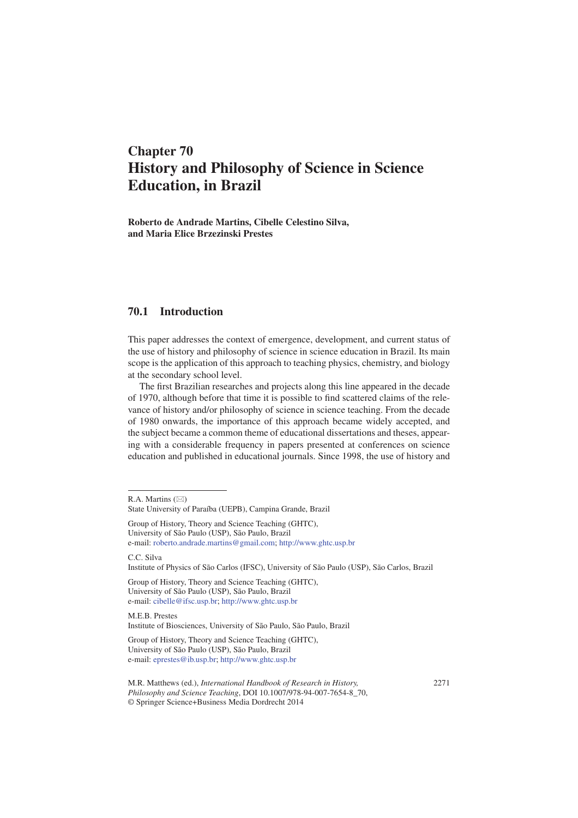# **Chapter 70 History and Philosophy of Science in Science Education, in Brazil**

Roberto de Andrade Martins, Cibelle Celestino Silva, **and Maria Elice Brzezinski Prestes** 

# **70.1 Introduction**

 This paper addresses the context of emergence, development, and current status of the use of history and philosophy of science in science education in Brazil. Its main scope is the application of this approach to teaching physics, chemistry, and biology at the secondary school level.

The first Brazilian researches and projects along this line appeared in the decade of 1970, although before that time it is possible to find scattered claims of the relevance of history and/or philosophy of science in science teaching. From the decade of 1980 onwards, the importance of this approach became widely accepted, and the subject became a common theme of educational dissertations and theses, appearing with a considerable frequency in papers presented at conferences on science education and published in educational journals. Since 1998, the use of history and

C.C. Silva

Institute of Physics of São Carlos (IFSC), University of São Paulo (USP), São Carlos, Brazil

Group of History, Theory and Science Teaching (GHTC), University of São Paulo (USP), São Paulo, Brazil e-mail: cibelle@ifsc.usp.br ; http://www.ghtc.usp.br

M.E.B. Prestes Institute of Biosciences, University of São Paulo, São Paulo, Brazil

Group of History, Theory and Science Teaching (GHTC), University of São Paulo (USP), São Paulo, Brazil e-mail: eprestes@ib.usp.br ; http://www.ghtc.usp.br

R.A. Martins  $(\boxtimes)$ 

State University of Paraíba (UEPB), Campina Grande, Brazil

Group of History, Theory and Science Teaching (GHTC), University of São Paulo (USP), São Paulo, Brazil e-mail: roberto.andrade.martins@gmail.com; http://www.ghtc.usp.br

M.R. Matthews (ed.), *International Handbook of Research in History,* 2271 *Philosophy and Science Teaching*, DOI 10.1007/978-94-007-7654-8\_70, © Springer Science+Business Media Dordrecht 2014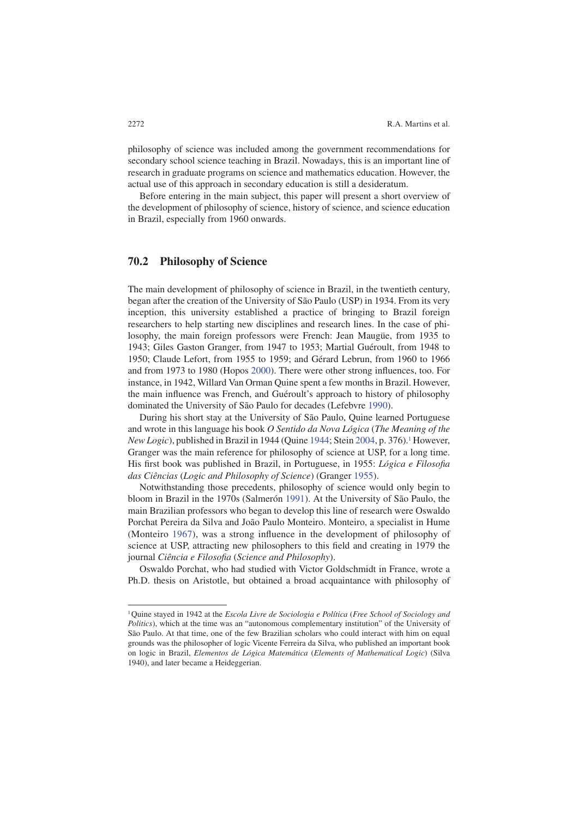philosophy of science was included among the government recommendations for secondary school science teaching in Brazil. Nowadays, this is an important line of research in graduate programs on science and mathematics education. However, the actual use of this approach in secondary education is still a desideratum.

 Before entering in the main subject, this paper will present a short overview of the development of philosophy of science, history of science, and science education in Brazil, especially from 1960 onwards.

### **70.2 Philosophy of Science**

 The main development of philosophy of science in Brazil, in the twentieth century, began after the creation of the University of São Paulo (USP) in 1934. From its very inception, this university established a practice of bringing to Brazil foreign researchers to help starting new disciplines and research lines. In the case of philosophy, the main foreign professors were French: Jean Maugüe, from 1935 to 1943; Giles Gaston Granger, from 1947 to 1953; Martial Guéroult, from 1948 to 1950; Claude Lefort, from 1955 to 1959; and Gérard Lebrun, from 1960 to 1966 and from 1973 to 1980 (Hopos 2000). There were other strong influences, too. For instance, in 1942, Willard Van Orman Quine spent a few months in Brazil. However, the main influence was French, and Guéroult's approach to history of philosophy dominated the University of São Paulo for decades (Lefebvre 1990).

 During his short stay at the University of São Paulo, Quine learned Portuguese and wrote in this language his book *O Sentido da Nova Lógica* ( *The Meaning of the*  New Logic), published in Brazil in 1944 (Quine 1944; Stein 2004, p. 376).<sup>1</sup> However, Granger was the main reference for philosophy of science at USP, for a long time. His first book was published in Brazil, in Portuguese, in 1955: *Lógica e Filosofia das Ciências* ( *Logic and Philosophy of Science* ) (Granger 1955 ).

 Notwithstanding those precedents, philosophy of science would only begin to bloom in Brazil in the 1970s (Salmerón 1991 ). At the University of São Paulo, the main Brazilian professors who began to develop this line of research were Oswaldo Porchat Pereira da Silva and João Paulo Monteiro. Monteiro, a specialist in Hume (Monteiro 1967), was a strong influence in the development of philosophy of science at USP, attracting new philosophers to this field and creating in 1979 the journal *Ciência e Filosofia* (*Science and Philosophy*).

 Oswaldo Porchat, who had studied with Victor Goldschmidt in France, wrote a Ph.D. thesis on Aristotle, but obtained a broad acquaintance with philosophy of

<sup>&</sup>lt;sup>1</sup>Quine stayed in 1942 at the *Escola Livre de Sociologia e Política (Free School of Sociology and Politics* ), which at the time was an "autonomous complementary institution" of the University of São Paulo. At that time, one of the few Brazilian scholars who could interact with him on equal grounds was the philosopher of logic Vicente Ferreira da Silva, who published an important book on logic in Brazil, *Elementos de Lógica Matemática* ( *Elements of Mathematical Logic* ) (Silva 1940), and later became a Heideggerian.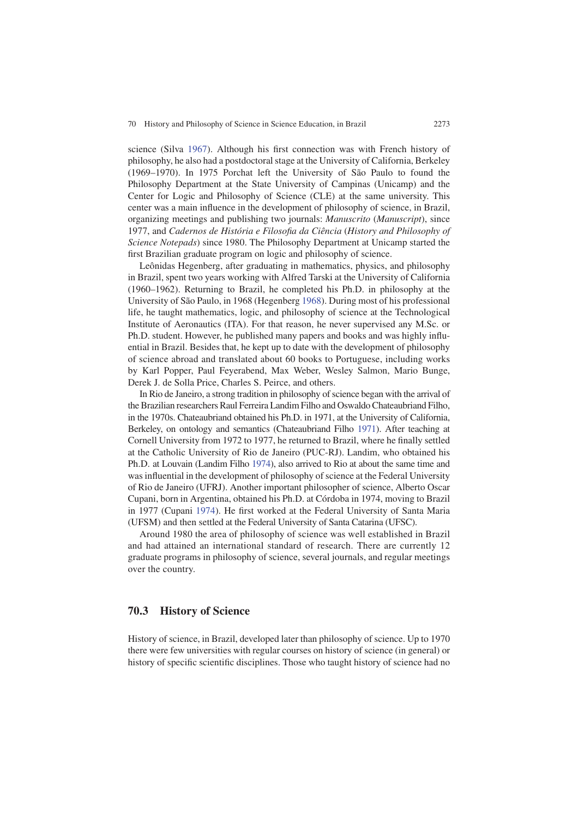science (Silva 1967). Although his first connection was with French history of philosophy, he also had a postdoctoral stage at the University of California, Berkeley (1969–1970). In 1975 Porchat left the University of São Paulo to found the Philosophy Department at the State University of Campinas (Unicamp) and the Center for Logic and Philosophy of Science (CLE) at the same university. This center was a main influence in the development of philosophy of science, in Brazil, organizing meetings and publishing two journals: *Manuscrito* (*Manuscript*), since 1977, and *Cadernos de História e Filosofi a da Ciência* ( *History and Philosophy of Science Notepads* ) since 1980. The Philosophy Department at Unicamp started the first Brazilian graduate program on logic and philosophy of science.

 Leônidas Hegenberg, after graduating in mathematics, physics, and philosophy in Brazil, spent two years working with Alfred Tarski at the University of California (1960–1962). Returning to Brazil, he completed his Ph.D. in philosophy at the University of São Paulo, in 1968 (Hegenberg 1968 ). During most of his professional life, he taught mathematics, logic, and philosophy of science at the Technological Institute of Aeronautics (ITA). For that reason, he never supervised any M.Sc. or Ph.D. student. However, he published many papers and books and was highly influential in Brazil. Besides that, he kept up to date with the development of philosophy of science abroad and translated about 60 books to Portuguese, including works by Karl Popper, Paul Feyerabend, Max Weber, Wesley Salmon, Mario Bunge, Derek J. de Solla Price, Charles S. Peirce, and others.

 In Rio de Janeiro, a strong tradition in philosophy of science began with the arrival of the Brazilian researchers Raul Ferreira Landim Filho and Oswaldo Chateaubriand Filho, in the 1970s. Chateaubriand obtained his Ph.D. in 1971, at the University of California, Berkeley, on ontology and semantics (Chateaubriand Filho 1971). After teaching at Cornell University from 1972 to 1977, he returned to Brazil, where he finally settled at the Catholic University of Rio de Janeiro (PUC-RJ). Landim, who obtained his Ph.D. at Louvain (Landim Filho 1974), also arrived to Rio at about the same time and was influential in the development of philosophy of science at the Federal University of Rio de Janeiro (UFRJ). Another important philosopher of science, Alberto Oscar Cupani, born in Argentina, obtained his Ph.D. at Córdoba in 1974, moving to Brazil in 1977 (Cupani 1974). He first worked at the Federal University of Santa Maria (UFSM) and then settled at the Federal University of Santa Catarina (UFSC).

 Around 1980 the area of philosophy of science was well established in Brazil and had attained an international standard of research. There are currently 12 graduate programs in philosophy of science, several journals, and regular meetings over the country.

### **70.3 History of Science**

 History of science, in Brazil, developed later than philosophy of science. Up to 1970 there were few universities with regular courses on history of science (in general) or history of specific scientific disciplines. Those who taught history of science had no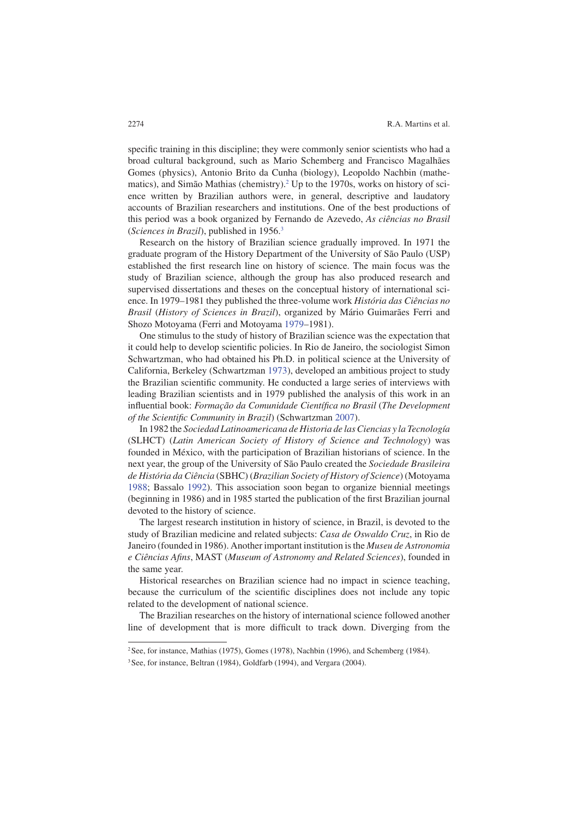specific training in this discipline; they were commonly senior scientists who had a broad cultural background, such as Mario Schemberg and Francisco Magalhães Gomes (physics), Antonio Brito da Cunha (biology), Leopoldo Nachbin (mathematics), and Simão Mathias (chemistry).<sup>2</sup> Up to the 1970s, works on history of science written by Brazilian authors were, in general, descriptive and laudatory accounts of Brazilian researchers and institutions. One of the best productions of this period was a book organized by Fernando de Azevedo, *As ciências no Brasil* ( *Sciences in Brazil* ), published in 1956. <sup>3</sup>

 Research on the history of Brazilian science gradually improved. In 1971 the graduate program of the History Department of the University of São Paulo (USP) established the first research line on history of science. The main focus was the study of Brazilian science, although the group has also produced research and supervised dissertations and theses on the conceptual history of international science. In 1979–1981 they published the three-volume work *História das Ciências no Brasil* ( *History of Sciences in Brazil* ), organized by Mário Guimarães Ferri and Shozo Motoyama (Ferri and Motoyama 1979–1981).

 One stimulus to the study of history of Brazilian science was the expectation that it could help to develop scientific policies. In Rio de Janeiro, the sociologist Simon Schwartzman, who had obtained his Ph.D. in political science at the University of California, Berkeley (Schwartzman 1973 ), developed an ambitious project to study the Brazilian scientific community. He conducted a large series of interviews with leading Brazilian scientists and in 1979 published the analysis of this work in an influential book: *Formação da Comunidade Científica no Brasil* (*The Development of the Scientific Community in Brazil*) (Schwartzman 2007).

 In 1982 the *Sociedad Latinoamericana de Historia de las Ciencias y la Tecnología* (SLHCT) ( *Latin American Society of History of Science and Technology* ) was founded in México, with the participation of Brazilian historians of science. In the next year, the group of the University of São Paulo created the *Sociedade Brasileira de História da Ciência* (SBHC) ( *Brazilian Society of History of Science* ) (Motoyama 1988; Bassalo 1992). This association soon began to organize biennial meetings (beginning in 1986) and in 1985 started the publication of the first Brazilian journal devoted to the history of science.

 The largest research institution in history of science, in Brazil, is devoted to the study of Brazilian medicine and related subjects: *Casa de Oswaldo Cruz* , in Rio de Janeiro (founded in 1986). Another important institution is the *Museu de Astronomia e Ciências Afi ns* , MAST ( *Museum of Astronomy and Related Sciences* ), founded in the same year.

 Historical researches on Brazilian science had no impact in science teaching, because the curriculum of the scientific disciplines does not include any topic related to the development of national science.

 The Brazilian researches on the history of international science followed another line of development that is more difficult to track down. Diverging from the

<sup>&</sup>lt;sup>2</sup> See, for instance, Mathias (1975), Gomes (1978), Nachbin (1996), and Schemberg (1984).

<sup>&</sup>lt;sup>3</sup> See, for instance, Beltran (1984), Goldfarb (1994), and Vergara (2004).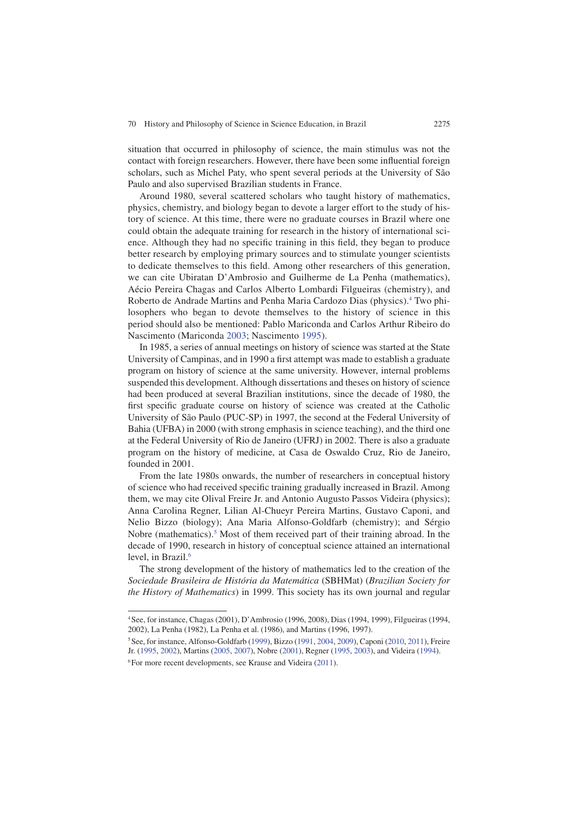situation that occurred in philosophy of science, the main stimulus was not the contact with foreign researchers. However, there have been some influential foreign scholars, such as Michel Paty, who spent several periods at the University of São Paulo and also supervised Brazilian students in France.

 Around 1980, several scattered scholars who taught history of mathematics, physics, chemistry, and biology began to devote a larger effort to the study of history of science. At this time, there were no graduate courses in Brazil where one could obtain the adequate training for research in the history of international science. Although they had no specific training in this field, they began to produce better research by employing primary sources and to stimulate younger scientists to dedicate themselves to this field. Among other researchers of this generation, we can cite Ubiratan D'Ambrosio and Guilherme de La Penha (mathematics), Aécio Pereira Chagas and Carlos Alberto Lombardi Filgueiras (chemistry), and Roberto de Andrade Martins and Penha Maria Cardozo Dias (physics).<sup>4</sup> Two philosophers who began to devote themselves to the history of science in this period should also be mentioned: Pablo Mariconda and Carlos Arthur Ribeiro do Nascimento (Mariconda 2003: Nascimento 1995).

 In 1985, a series of annual meetings on history of science was started at the State University of Campinas, and in 1990 a first attempt was made to establish a graduate program on history of science at the same university. However, internal problems suspended this development. Although dissertations and theses on history of science had been produced at several Brazilian institutions, since the decade of 1980, the first specific graduate course on history of science was created at the Catholic University of São Paulo (PUC-SP) in 1997, the second at the Federal University of Bahia (UFBA) in 2000 (with strong emphasis in science teaching), and the third one at the Federal University of Rio de Janeiro (UFRJ) in 2002. There is also a graduate program on the history of medicine, at Casa de Oswaldo Cruz, Rio de Janeiro, founded in 2001.

 From the late 1980s onwards, the number of researchers in conceptual history of science who had received specific training gradually increased in Brazil. Among them, we may cite Olival Freire Jr. and Antonio Augusto Passos Videira (physics); Anna Carolina Regner, Lilian Al-Chueyr Pereira Martins, Gustavo Caponi, and Nelio Bizzo (biology); Ana Maria Alfonso-Goldfarb (chemistry); and Sérgio Nobre (mathematics).<sup>5</sup> Most of them received part of their training abroad. In the decade of 1990, research in history of conceptual science attained an international level, in Brazil.<sup>6</sup>

 The strong development of the history of mathematics led to the creation of the *Sociedade Brasileira de História da Matemática* (SBHMat) ( *Brazilian Society for the History of Mathematics* ) in 1999. This society has its own journal and regular

<sup>4</sup> See, for instance, Chagas ( 2001 ), D'Ambrosio ( 1996 , 2008 ), Dias ( 1994 , 1999 ), Filgueiras ( 1994 , 2002), La Penha (1982), La Penha et al. (1986), and Martins (1996, 1997).

<sup>&</sup>lt;sup>5</sup> See, for instance, Alfonso-Goldfarb (1999), Bizzo (1991, 2004, 2009), Caponi (2010, 2011), Freire Jr. (1995, 2002), Martins (2005, 2007), Nobre (2001), Regner (1995, 2003), and Videira (1994). <sup>6</sup> For more recent developments, see Krause and Videira (2011).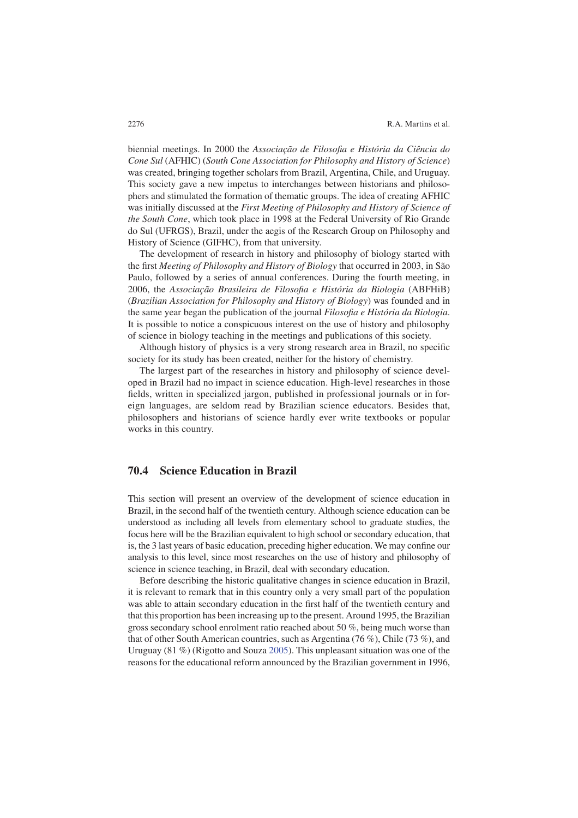biennial meetings. In 2000 the *Associação de Filosofia e História da Ciência do Cone Sul* (AFHIC) ( *South Cone Association for Philosophy and History of Science* ) was created, bringing together scholars from Brazil, Argentina, Chile, and Uruguay. This society gave a new impetus to interchanges between historians and philosophers and stimulated the formation of thematic groups. The idea of creating AFHIC was initially discussed at the *First Meeting of Philosophy and History of Science of the South Cone*, which took place in 1998 at the Federal University of Rio Grande do Sul (UFRGS), Brazil, under the aegis of the Research Group on Philosophy and History of Science (GIFHC), from that university.

 The development of research in history and philosophy of biology started with the first *Meeting of Philosophy and History of Biology* that occurred in 2003, in São Paulo, followed by a series of annual conferences. During the fourth meeting, in 2006, the *Associação Brasileira de Filosofi a e História da Biologia* (ABFHiB) ( *Brazilian Association for Philosophy and History of Biology* ) was founded and in the same year began the publication of the journal *Filosofia e História da Biologia*. It is possible to notice a conspicuous interest on the use of history and philosophy of science in biology teaching in the meetings and publications of this society.

Although history of physics is a very strong research area in Brazil, no specific society for its study has been created, neither for the history of chemistry.

 The largest part of the researches in history and philosophy of science developed in Brazil had no impact in science education. High-level researches in those fields, written in specialized jargon, published in professional journals or in foreign languages, are seldom read by Brazilian science educators. Besides that, philosophers and historians of science hardly ever write textbooks or popular works in this country.

### **70.4 Science Education in Brazil**

 This section will present an overview of the development of science education in Brazil, in the second half of the twentieth century. Although science education can be understood as including all levels from elementary school to graduate studies, the focus here will be the Brazilian equivalent to high school or secondary education, that is, the 3 last years of basic education, preceding higher education. We may confine our analysis to this level, since most researches on the use of history and philosophy of science in science teaching, in Brazil, deal with secondary education.

 Before describing the historic qualitative changes in science education in Brazil, it is relevant to remark that in this country only a very small part of the population was able to attain secondary education in the first half of the twentieth century and that this proportion has been increasing up to the present. Around 1995, the Brazilian gross secondary school enrolment ratio reached about 50 %, being much worse than that of other South American countries, such as Argentina (76 %), Chile (73 %), and Uruguay (81 %) (Rigotto and Souza 2005 ). This unpleasant situation was one of the reasons for the educational reform announced by the Brazilian government in 1996,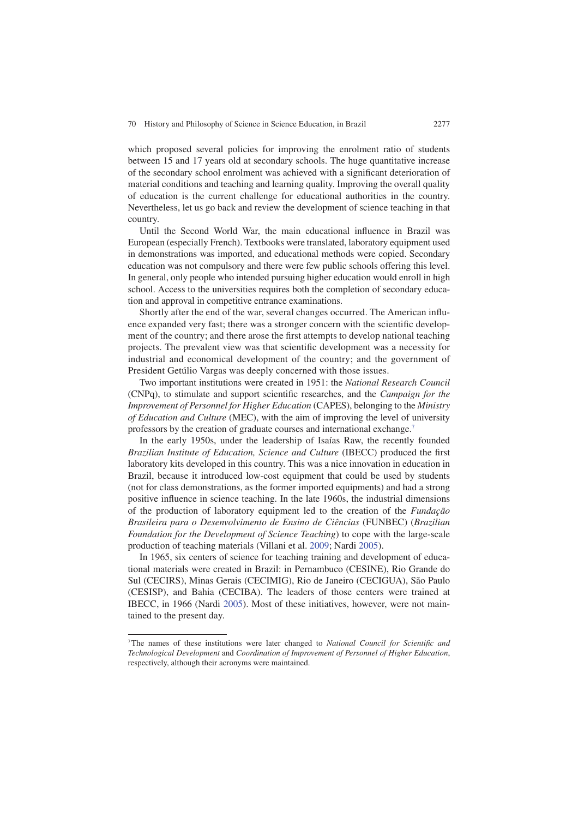which proposed several policies for improving the enrolment ratio of students between 15 and 17 years old at secondary schools. The huge quantitative increase of the secondary school enrolment was achieved with a significant deterioration of material conditions and teaching and learning quality. Improving the overall quality of education is the current challenge for educational authorities in the country. Nevertheless, let us go back and review the development of science teaching in that country.

Until the Second World War, the main educational influence in Brazil was European (especially French). Textbooks were translated, laboratory equipment used in demonstrations was imported, and educational methods were copied. Secondary education was not compulsory and there were few public schools offering this level. In general, only people who intended pursuing higher education would enroll in high school. Access to the universities requires both the completion of secondary education and approval in competitive entrance examinations.

Shortly after the end of the war, several changes occurred. The American influence expanded very fast; there was a stronger concern with the scientific development of the country; and there arose the first attempts to develop national teaching projects. The prevalent view was that scientific development was a necessity for industrial and economical development of the country; and the government of President Getúlio Vargas was deeply concerned with those issues.

 Two important institutions were created in 1951: the *National Research Council* (CNPq), to stimulate and support scientific researches, and the *Campaign for the Improvement of Personnel for Higher Education* (CAPES), belonging to the *Ministry of Education and Culture* (MEC), with the aim of improving the level of university professors by the creation of graduate courses and international exchange. <sup>7</sup>

 In the early 1950s, under the leadership of Isaías Raw, the recently founded *Brazilian Institute of Education, Science and Culture* (IBECC) produced the first laboratory kits developed in this country. This was a nice innovation in education in Brazil, because it introduced low-cost equipment that could be used by students (not for class demonstrations, as the former imported equipments) and had a strong positive infl uence in science teaching. In the late 1960s, the industrial dimensions of the production of laboratory equipment led to the creation of the *Fundação Brasileira para o Desenvolvimento de Ensino de Ciências* (FUNBEC) ( *Brazilian Foundation for the Development of Science Teaching* ) to cope with the large-scale production of teaching materials (Villani et al. 2009; Nardi 2005).

 In 1965, six centers of science for teaching training and development of educational materials were created in Brazil: in Pernambuco (CESINE), Rio Grande do Sul (CECIRS), Minas Gerais (CECIMIG), Rio de Janeiro (CECIGUA), São Paulo (CESISP), and Bahia (CECIBA). The leaders of those centers were trained at IBECC, in 1966 (Nardi 2005). Most of these initiatives, however, were not maintained to the present day.

<sup>&</sup>lt;sup>7</sup>The names of these institutions were later changed to *National Council for Scientific and Technological Development* and *Coordination of Improvement of Personnel of Higher Education* , respectively, although their acronyms were maintained.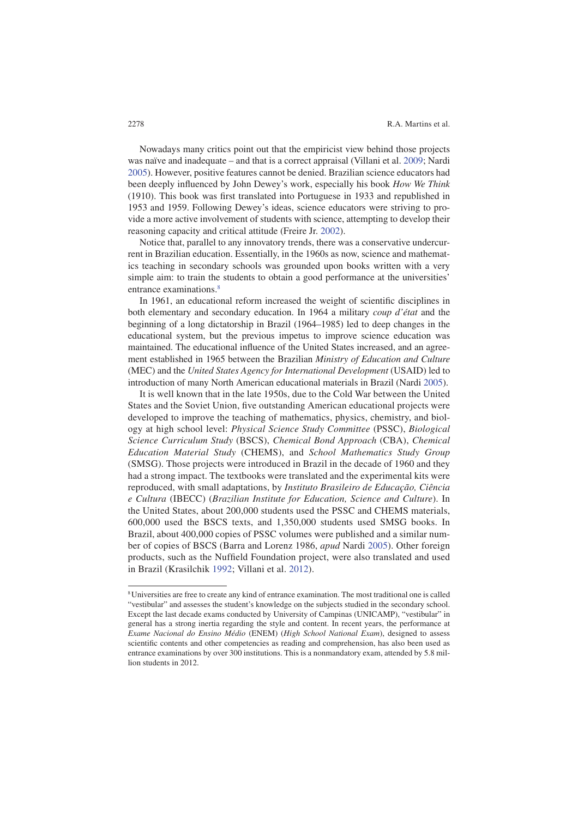Nowadays many critics point out that the empiricist view behind those projects was naïve and inadequate – and that is a correct appraisal (Villani et al. 2009 ; Nardi 2005 ). However, positive features cannot be denied. Brazilian science educators had been deeply influenced by John Dewey's work, especially his book *How We Think*  $(1910)$ . This book was first translated into Portuguese in 1933 and republished in 1953 and 1959. Following Dewey's ideas, science educators were striving to provide a more active involvement of students with science, attempting to develop their reasoning capacity and critical attitude (Freire Jr. 2002).

 Notice that, parallel to any innovatory trends, there was a conservative undercurrent in Brazilian education. Essentially, in the 1960s as now, science and mathematics teaching in secondary schools was grounded upon books written with a very simple aim: to train the students to obtain a good performance at the universities' entrance examinations. <sup>8</sup>

In 1961, an educational reform increased the weight of scientific disciplines in both elementary and secondary education. In 1964 a military *coup d'état* and the beginning of a long dictatorship in Brazil (1964–1985) led to deep changes in the educational system, but the previous impetus to improve science education was maintained. The educational influence of the United States increased, and an agreement established in 1965 between the Brazilian *Ministry of Education and Culture* (MEC) and the *United States Agency for International Development* (USAID) led to introduction of many North American educational materials in Brazil (Nardi 2005 ).

 It is well known that in the late 1950s, due to the Cold War between the United States and the Soviet Union, five outstanding American educational projects were developed to improve the teaching of mathematics, physics, chemistry, and biology at high school level: *Physical Science Study Committee* (PSSC), *Biological Science Curriculum Study* (BSCS), *Chemical Bond Approach* (CBA), *Chemical Education Material Study* (CHEMS), and *School Mathematics Study Group* (SMSG). Those projects were introduced in Brazil in the decade of 1960 and they had a strong impact. The textbooks were translated and the experimental kits were reproduced, with small adaptations, by *Instituto Brasileiro de Educação, Ciência e Cultura* (IBECC) ( *Brazilian Institute for Education, Science and Culture* ). In the United States, about 200,000 students used the PSSC and CHEMS materials, 600,000 used the BSCS texts, and 1,350,000 students used SMSG books. In Brazil, about 400,000 copies of PSSC volumes were published and a similar number of copies of BSCS (Barra and Lorenz 1986, *apud* Nardi 2005 ). Other foreign products, such as the Nuffield Foundation project, were also translated and used in Brazil (Krasilchik 1992; Villani et al. 2012).

<sup>8</sup> Universities are free to create any kind of entrance examination. The most traditional one is called "vestibular" and assesses the student's knowledge on the subjects studied in the secondary school. Except the last decade exams conducted by University of Campinas (UNICAMP), "vestibular" in general has a strong inertia regarding the style and content. In recent years, the performance at  *Exame Nacional do Ensino Médio* (ENEM) ( *High School National Exam* ), designed to assess scientific contents and other competencies as reading and comprehension, has also been used as entrance examinations by over 300 institutions. This is a nonmandatory exam, attended by 5.8 million students in 2012.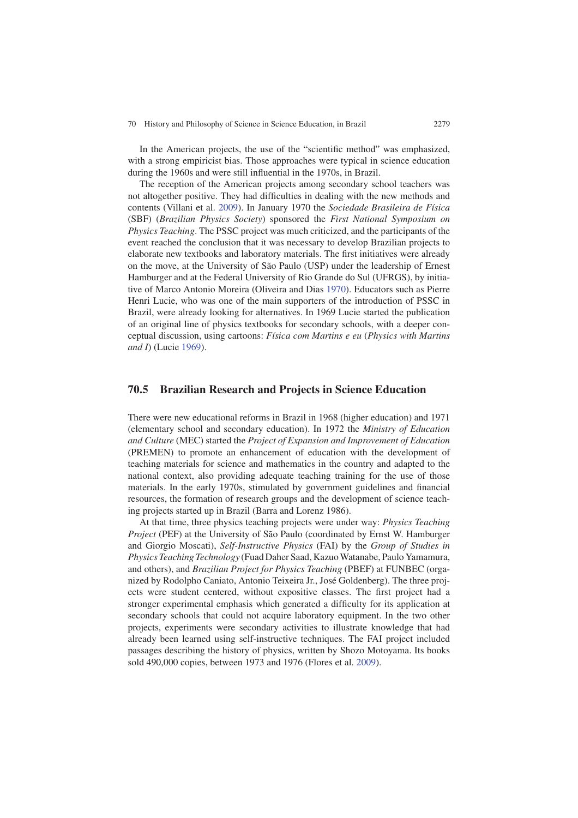In the American projects, the use of the "scientific method" was emphasized, with a strong empiricist bias. Those approaches were typical in science education during the 1960s and were still influential in the 1970s, in Brazil.

 The reception of the American projects among secondary school teachers was not altogether positive. They had difficulties in dealing with the new methods and contents (Villani et al. 2009 ). In January 1970 the *Sociedade Brasileira de Física* (SBF) ( *Brazilian Physics Society* ) sponsored the *First National Symposium on Physics Teaching* . The PSSC project was much criticized, and the participants of the event reached the conclusion that it was necessary to develop Brazilian projects to elaborate new textbooks and laboratory materials. The first initiatives were already on the move, at the University of São Paulo (USP) under the leadership of Ernest Hamburger and at the Federal University of Rio Grande do Sul (UFRGS), by initiative of Marco Antonio Moreira (Oliveira and Dias 1970 ). Educators such as Pierre Henri Lucie, who was one of the main supporters of the introduction of PSSC in Brazil, were already looking for alternatives. In 1969 Lucie started the publication of an original line of physics textbooks for secondary schools, with a deeper conceptual discussion, using cartoons: *Física com Martins e eu* ( *Physics with Martins and I*) (Lucie 1969).

### **70.5 Brazilian Research and Projects in Science Education**

 There were new educational reforms in Brazil in 1968 (higher education) and 1971 (elementary school and secondary education). In 1972 the *Ministry of Education and Culture* (MEC) started the *Project of Expansion and Improvement of Education* (PREMEN) to promote an enhancement of education with the development of teaching materials for science and mathematics in the country and adapted to the national context, also providing adequate teaching training for the use of those materials. In the early 1970s, stimulated by government guidelines and financial resources, the formation of research groups and the development of science teaching projects started up in Brazil (Barra and Lorenz 1986).

 At that time, three physics teaching projects were under way: *Physics Teaching Project* (PEF) at the University of São Paulo (coordinated by Ernst W. Hamburger and Giorgio Moscati), *Self-Instructive Physics* (FAI) by the *Group of Studies in Physics Teaching Technology* (Fuad Daher Saad, Kazuo Watanabe, Paulo Yamamura, and others), and *Brazilian Project for Physics Teaching* (PBEF) at FUNBEC (organized by Rodolpho Caniato, Antonio Teixeira Jr., José Goldenberg). The three projects were student centered, without expositive classes. The first project had a stronger experimental emphasis which generated a difficulty for its application at secondary schools that could not acquire laboratory equipment. In the two other projects, experiments were secondary activities to illustrate knowledge that had already been learned using self-instructive techniques. The FAI project included passages describing the history of physics, written by Shozo Motoyama. Its books sold 490,000 copies, between 1973 and 1976 (Flores et al. 2009 ).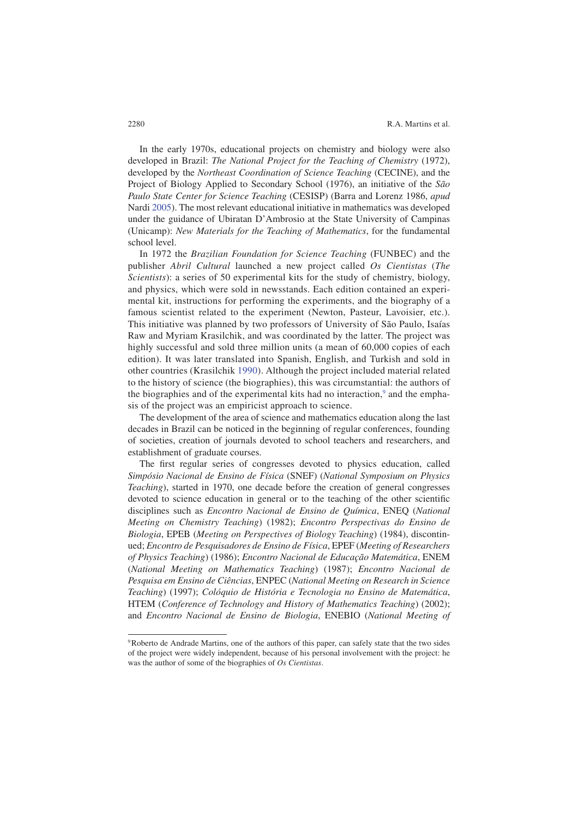In the early 1970s, educational projects on chemistry and biology were also developed in Brazil: *The National Project for the Teaching of Chemistry* (1972), developed by the *Northeast Coordination of Science Teaching* (CECINE), and the Project of Biology Applied to Secondary School (1976), an initiative of the *São Paulo State Center for Science Teaching* (CESISP) (Barra and Lorenz 1986, *apud* Nardi 2005). The most relevant educational initiative in mathematics was developed under the guidance of Ubiratan D'Ambrosio at the State University of Campinas (Unicamp): *New Materials for the Teaching of Mathematics* , for the fundamental school level.

 In 1972 the *Brazilian Foundation for Science Teaching* (FUNBEC) and the publisher *Abril Cultural* launched a new project called *Os Cientistas* ( *The Scientists* ): a series of 50 experimental kits for the study of chemistry, biology, and physics, which were sold in newsstands. Each edition contained an experimental kit, instructions for performing the experiments, and the biography of a famous scientist related to the experiment (Newton, Pasteur, Lavoisier, etc.). This initiative was planned by two professors of University of São Paulo, Isaías Raw and Myriam Krasilchik, and was coordinated by the latter. The project was highly successful and sold three million units (a mean of 60,000 copies of each edition). It was later translated into Spanish, English, and Turkish and sold in other countries (Krasilchik 1990 ). Although the project included material related to the history of science (the biographies), this was circumstantial: the authors of the biographies and of the experimental kits had no interaction,<sup>9</sup> and the emphasis of the project was an empiricist approach to science.

 The development of the area of science and mathematics education along the last decades in Brazil can be noticed in the beginning of regular conferences, founding of societies, creation of journals devoted to school teachers and researchers, and establishment of graduate courses.

The first regular series of congresses devoted to physics education, called *Simpósio Nacional de Ensino de Física* (SNEF) ( *National Symposium on Physics Teaching* ), started in 1970, one decade before the creation of general congresses devoted to science education in general or to the teaching of the other scientific disciplines such as *Encontro Nacional de Ensino de Química* , ENEQ ( *National Meeting on Chemistry Teaching* ) (1982); *Encontro Perspectivas do Ensino de Biologia* , EPEB ( *Meeting on Perspectives of Biology Teaching* ) (1984), discontinued; *Encontro de Pesquisadores de Ensino de Física* , EPEF ( *Meeting of Researchers of Physics Teaching* ) (1986); *Encontro Nacional de Educação Matemática* , ENEM ( *National Meeting on Mathematics Teaching* ) (1987); *Encontro Nacional de Pesquisa em Ensino de Ciências* , ENPEC ( *National Meeting on Research in Science Teaching* ) (1997); *Colóquio de História e Tecnologia no Ensino de Matemática* , HTEM ( *Conference of Technology and History of Mathematics Teaching* ) (2002); and *Encontro Nacional de Ensino de Biologia* , ENEBIO ( *National Meeting of* 

<sup>9</sup> Roberto de Andrade Martins, one of the authors of this paper, can safely state that the two sides of the project were widely independent, because of his personal involvement with the project: he was the author of some of the biographies of *Os Cientistas* .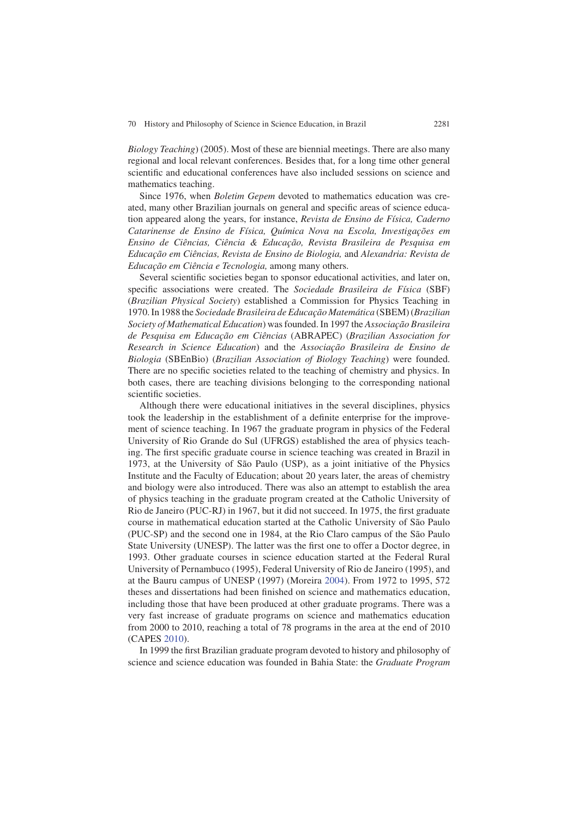*Biology Teaching* ) (2005). Most of these are biennial meetings. There are also many regional and local relevant conferences. Besides that, for a long time other general scientific and educational conferences have also included sessions on science and mathematics teaching.

 Since 1976, when *Boletim Gepem* devoted to mathematics education was created, many other Brazilian journals on general and specific areas of science education appeared along the years, for instance, *Revista de Ensino de Física, Caderno Catarinense de Ensino de Física, Química Nova na Escola, Investigações em Ensino de Ciências, Ciência & Educação, Revista Brasileira de Pesquisa em Educação em Ciências, Revista de Ensino de Biologia,* and *Alexandria: Revista de Educação em Ciência e Tecnologia,* among many others.

Several scientific societies began to sponsor educational activities, and later on, specific associations were created. The *Sociedade Brasileira de Física* (SBF) ( *Brazilian Physical Society* ) established a Commission for Physics Teaching in 1970. In 1988 the *Sociedade Brasileira de Educação Matemática* (SBEM) ( *Brazilian Society of Mathematical Education* ) was founded. In 1997 the *Associação Brasileira de Pesquisa em Educação em Ciências* (ABRAPEC) ( *Brazilian Association for Research in Science Education* ) and the *Associação Brasileira de Ensino de Biologia* (SBEnBio) ( *Brazilian Association of Biology Teaching* ) were founded. There are no specific societies related to the teaching of chemistry and physics. In both cases, there are teaching divisions belonging to the corresponding national scientific societies.

 Although there were educational initiatives in the several disciplines, physics took the leadership in the establishment of a definite enterprise for the improvement of science teaching. In 1967 the graduate program in physics of the Federal University of Rio Grande do Sul (UFRGS) established the area of physics teaching. The first specific graduate course in science teaching was created in Brazil in 1973, at the University of São Paulo (USP), as a joint initiative of the Physics Institute and the Faculty of Education; about 20 years later, the areas of chemistry and biology were also introduced. There was also an attempt to establish the area of physics teaching in the graduate program created at the Catholic University of Rio de Janeiro (PUC-RJ) in 1967, but it did not succeed. In 1975, the first graduate course in mathematical education started at the Catholic University of São Paulo (PUC-SP) and the second one in 1984, at the Rio Claro campus of the São Paulo State University (UNESP). The latter was the first one to offer a Doctor degree, in 1993. Other graduate courses in science education started at the Federal Rural University of Pernambuco (1995), Federal University of Rio de Janeiro (1995), and at the Bauru campus of UNESP (1997) (Moreira 2004 ). From 1972 to 1995, 572 theses and dissertations had been finished on science and mathematics education, including those that have been produced at other graduate programs. There was a very fast increase of graduate programs on science and mathematics education from 2000 to 2010, reaching a total of 78 programs in the area at the end of 2010 (CAPES 2010).

In 1999 the first Brazilian graduate program devoted to history and philosophy of science and science education was founded in Bahia State: the *Graduate Program*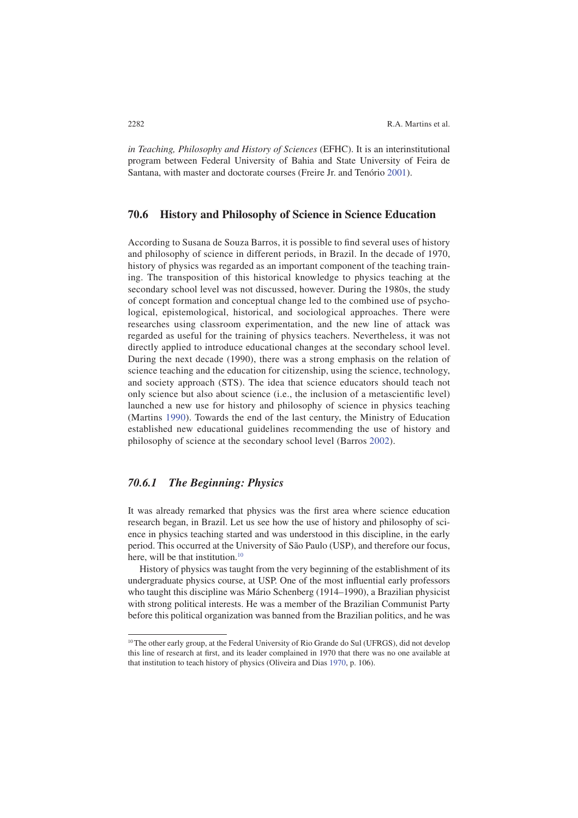*in Teaching, Philosophy and History of Sciences* (EFHC). It is an interinstitutional program between Federal University of Bahia and State University of Feira de Santana, with master and doctorate courses (Freire Jr. and Tenório 2001 ).

### **70.6 History and Philosophy of Science in Science Education**

According to Susana de Souza Barros, it is possible to find several uses of history and philosophy of science in different periods, in Brazil. In the decade of 1970, history of physics was regarded as an important component of the teaching training. The transposition of this historical knowledge to physics teaching at the secondary school level was not discussed, however. During the 1980s, the study of concept formation and conceptual change led to the combined use of psychological, epistemological, historical, and sociological approaches. There were researches using classroom experimentation, and the new line of attack was regarded as useful for the training of physics teachers. Nevertheless, it was not directly applied to introduce educational changes at the secondary school level. During the next decade (1990), there was a strong emphasis on the relation of science teaching and the education for citizenship, using the science, technology, and society approach (STS). The idea that science educators should teach not only science but also about science (i.e., the inclusion of a metascientific level) launched a new use for history and philosophy of science in physics teaching (Martins 1990). Towards the end of the last century, the Ministry of Education established new educational guidelines recommending the use of history and philosophy of science at the secondary school level (Barros 2002 ).

# *70.6.1 The Beginning: Physics*

It was already remarked that physics was the first area where science education research began, in Brazil. Let us see how the use of history and philosophy of science in physics teaching started and was understood in this discipline, in the early period. This occurred at the University of São Paulo (USP), and therefore our focus, here, will be that institution.<sup>10</sup>

 History of physics was taught from the very beginning of the establishment of its undergraduate physics course, at USP. One of the most influential early professors who taught this discipline was Mário Schenberg (1914–1990), a Brazilian physicist with strong political interests. He was a member of the Brazilian Communist Party before this political organization was banned from the Brazilian politics, and he was

<sup>&</sup>lt;sup>10</sup> The other early group, at the Federal University of Rio Grande do Sul (UFRGS), did not develop this line of research at first, and its leader complained in 1970 that there was no one available at that institution to teach history of physics (Oliveira and Dias 1970, p. 106).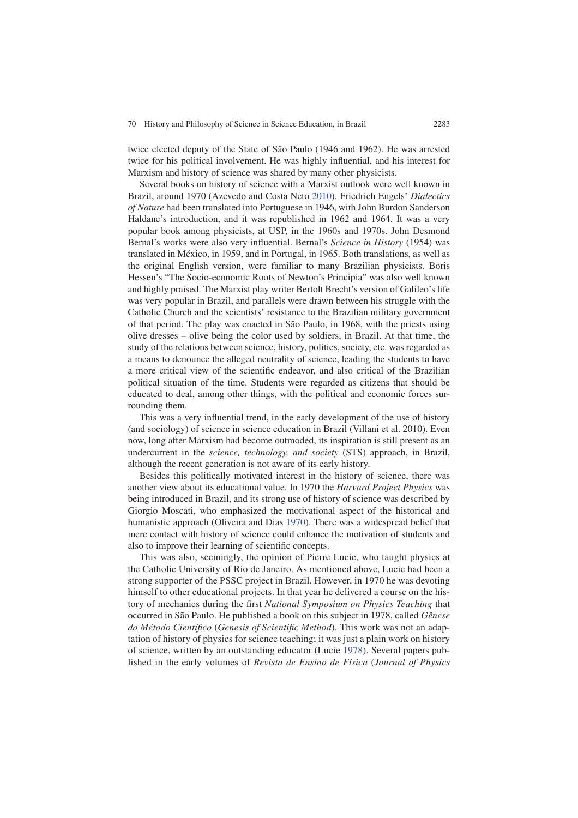twice elected deputy of the State of São Paulo (1946 and 1962). He was arrested twice for his political involvement. He was highly influential, and his interest for Marxism and history of science was shared by many other physicists.

 Several books on history of science with a Marxist outlook were well known in Brazil, around 1970 (Azevedo and Costa Neto 2010 ). Friedrich Engels' *Dialectics of Nature* had been translated into Portuguese in 1946, with John Burdon Sanderson Haldane's introduction, and it was republished in 1962 and 1964. It was a very popular book among physicists, at USP, in the 1960s and 1970s. John Desmond Bernal's works were also very influential. Bernal's *Science in History* (1954) was translated in México, in 1959, and in Portugal, in 1965. Both translations, as well as the original English version, were familiar to many Brazilian physicists. Boris Hessen's "The Socio-economic Roots of Newton's Principia" was also well known and highly praised. The Marxist play writer Bertolt Brecht's version of Galileo's life was very popular in Brazil, and parallels were drawn between his struggle with the Catholic Church and the scientists' resistance to the Brazilian military government of that period. The play was enacted in São Paulo, in 1968, with the priests using olive dresses – olive being the color used by soldiers, in Brazil. At that time, the study of the relations between science, history, politics, society, etc. was regarded as a means to denounce the alleged neutrality of science, leading the students to have a more critical view of the scientific endeavor, and also critical of the Brazilian political situation of the time. Students were regarded as citizens that should be educated to deal, among other things, with the political and economic forces surrounding them.

This was a very influential trend, in the early development of the use of history (and sociology) of science in science education in Brazil (Villani et al. 2010). Even now, long after Marxism had become outmoded, its inspiration is still present as an undercurrent in the *science, technology, and society* (STS) approach, in Brazil, although the recent generation is not aware of its early history.

 Besides this politically motivated interest in the history of science, there was another view about its educational value. In 1970 the *Harvard Project Physics* was being introduced in Brazil, and its strong use of history of science was described by Giorgio Moscati, who emphasized the motivational aspect of the historical and humanistic approach (Oliveira and Dias 1970). There was a widespread belief that mere contact with history of science could enhance the motivation of students and also to improve their learning of scientific concepts.

 This was also, seemingly, the opinion of Pierre Lucie, who taught physics at the Catholic University of Rio de Janeiro. As mentioned above, Lucie had been a strong supporter of the PSSC project in Brazil. However, in 1970 he was devoting himself to other educational projects. In that year he delivered a course on the history of mechanics during the first *National Symposium on Physics Teaching* that occurred in São Paulo. He published a book on this subject in 1978, called *Gênese do Método Científico (Genesis of Scientific Method)*. This work was not an adaptation of history of physics for science teaching; it was just a plain work on history of science, written by an outstanding educator (Lucie 1978 ). Several papers published in the early volumes of *Revista de Ensino de Física* ( *Journal of Physics*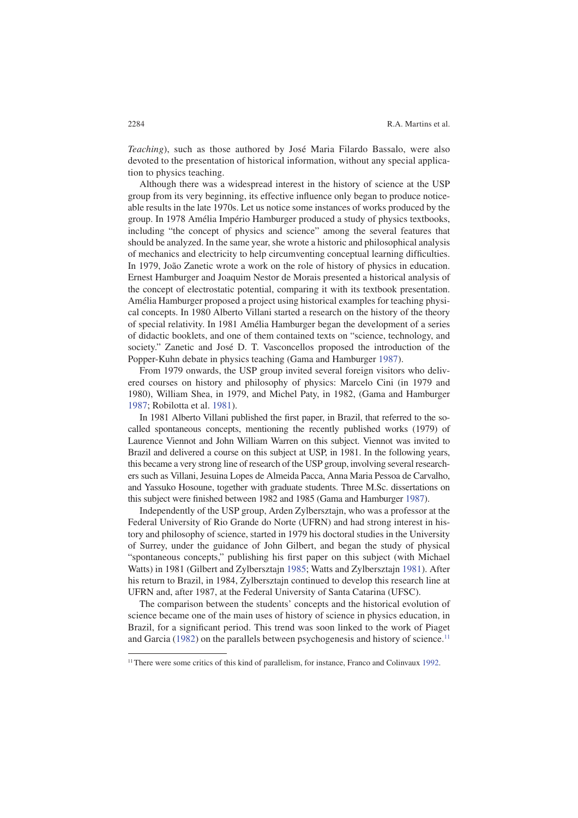*Teaching* ), such as those authored by José Maria Filardo Bassalo, were also devoted to the presentation of historical information, without any special application to physics teaching.

 Although there was a widespread interest in the history of science at the USP group from its very beginning, its effective influence only began to produce noticeable results in the late 1970s. Let us notice some instances of works produced by the group. In 1978 Amélia Império Hamburger produced a study of physics textbooks, including "the concept of physics and science" among the several features that should be analyzed. In the same year, she wrote a historic and philosophical analysis of mechanics and electricity to help circumventing conceptual learning difficulties. In 1979, João Zanetic wrote a work on the role of history of physics in education. Ernest Hamburger and Joaquim Nestor de Morais presented a historical analysis of the concept of electrostatic potential, comparing it with its textbook presentation. Amélia Hamburger proposed a project using historical examples for teaching physical concepts. In 1980 Alberto Villani started a research on the history of the theory of special relativity. In 1981 Amélia Hamburger began the development of a series of didactic booklets, and one of them contained texts on "science, technology, and society." Zanetic and José D. T. Vasconcellos proposed the introduction of the Popper-Kuhn debate in physics teaching (Gama and Hamburger 1987).

 From 1979 onwards, the USP group invited several foreign visitors who delivered courses on history and philosophy of physics: Marcelo Cini (in 1979 and 1980), William Shea, in 1979, and Michel Paty, in 1982, (Gama and Hamburger 1987: Robilotta et al. 1981).

In 1981 Alberto Villani published the first paper, in Brazil, that referred to the socalled spontaneous concepts, mentioning the recently published works (1979) of Laurence Viennot and John William Warren on this subject. Viennot was invited to Brazil and delivered a course on this subject at USP, in 1981. In the following years, this became a very strong line of research of the USP group, involving several researchers such as Villani, Jesuina Lopes de Almeida Pacca, Anna Maria Pessoa de Carvalho, and Yassuko Hosoune, together with graduate students. Three M.Sc. dissertations on this subject were finished between 1982 and 1985 (Gama and Hamburger 1987).

 Independently of the USP group, Arden Zylbersztajn, who was a professor at the Federal University of Rio Grande do Norte (UFRN) and had strong interest in history and philosophy of science, started in 1979 his doctoral studies in the University of Surrey, under the guidance of John Gilbert, and began the study of physical "spontaneous concepts," publishing his first paper on this subject (with Michael Watts) in 1981 (Gilbert and Zylbersztajn 1985; Watts and Zylbersztajn 1981). After his return to Brazil, in 1984, Zylbersztajn continued to develop this research line at UFRN and, after 1987, at the Federal University of Santa Catarina (UFSC).

 The comparison between the students' concepts and the historical evolution of science became one of the main uses of history of science in physics education, in Brazil, for a significant period. This trend was soon linked to the work of Piaget and Garcia ( $1982$ ) on the parallels between psychogenesis and history of science.<sup>11</sup>

<sup>&</sup>lt;sup>11</sup> There were some critics of this kind of parallelism, for instance, Franco and Colinvaux 1992.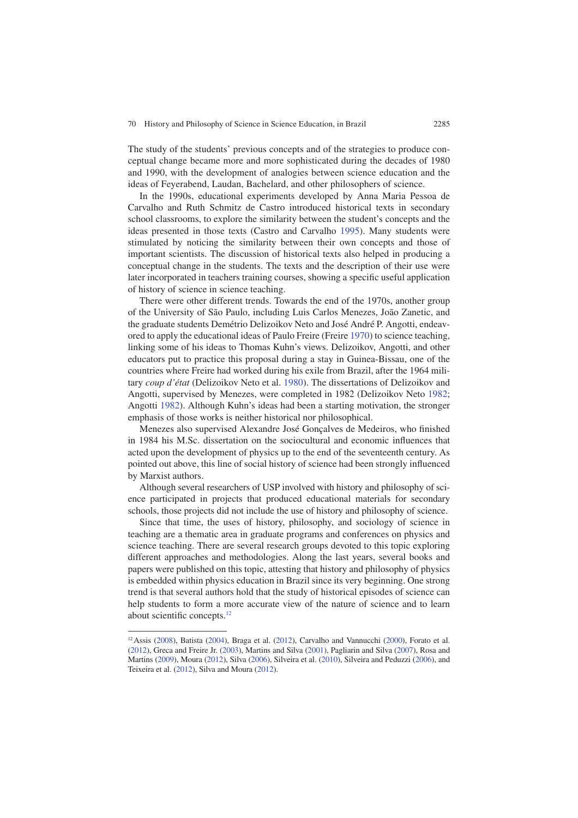The study of the students' previous concepts and of the strategies to produce conceptual change became more and more sophisticated during the decades of 1980 and 1990, with the development of analogies between science education and the ideas of Feyerabend, Laudan, Bachelard, and other philosophers of science.

 In the 1990s, educational experiments developed by Anna Maria Pessoa de Carvalho and Ruth Schmitz de Castro introduced historical texts in secondary school classrooms, to explore the similarity between the student's concepts and the ideas presented in those texts (Castro and Carvalho 1995). Many students were stimulated by noticing the similarity between their own concepts and those of important scientists. The discussion of historical texts also helped in producing a conceptual change in the students. The texts and the description of their use were later incorporated in teachers training courses, showing a specific useful application of history of science in science teaching.

 There were other different trends. Towards the end of the 1970s, another group of the University of São Paulo, including Luis Carlos Menezes, João Zanetic, and the graduate students Demétrio Delizoikov Neto and José André P. Angotti, endeavored to apply the educational ideas of Paulo Freire (Freire 1970 ) to science teaching, linking some of his ideas to Thomas Kuhn's views. Delizoikov, Angotti, and other educators put to practice this proposal during a stay in Guinea-Bissau, one of the countries where Freire had worked during his exile from Brazil, after the 1964 military *coup d'état* (Delizoikov Neto et al. 1980). The dissertations of Delizoikov and Angotti, supervised by Menezes, were completed in 1982 (Delizoikov Neto 1982; Angotti 1982 ). Although Kuhn's ideas had been a starting motivation, the stronger emphasis of those works is neither historical nor philosophical.

Menezes also supervised Alexandre José Gonçalves de Medeiros, who finished in 1984 his M.Sc. dissertation on the sociocultural and economic influences that acted upon the development of physics up to the end of the seventeenth century. As pointed out above, this line of social history of science had been strongly influenced by Marxist authors.

 Although several researchers of USP involved with history and philosophy of science participated in projects that produced educational materials for secondary schools, those projects did not include the use of history and philosophy of science.

 Since that time, the uses of history, philosophy, and sociology of science in teaching are a thematic area in graduate programs and conferences on physics and science teaching. There are several research groups devoted to this topic exploring different approaches and methodologies. Along the last years, several books and papers were published on this topic, attesting that history and philosophy of physics is embedded within physics education in Brazil since its very beginning. One strong trend is that several authors hold that the study of historical episodes of science can help students to form a more accurate view of the nature of science and to learn about scientific concepts. $12$ 

 $12$  Assis (2008), Batista (2004), Braga et al. (2012), Carvalho and Vannucchi (2000), Forato et al. (2012), Greca and Freire Jr. (2003), Martins and Silva (2001), Pagliarin and Silva (2007), Rosa and Martins (2009), Moura (2012), Silva (2006), Silveira et al. (2010), Silveira and Peduzzi (2006), and Teixeira et al. (2012), Silva and Moura (2012).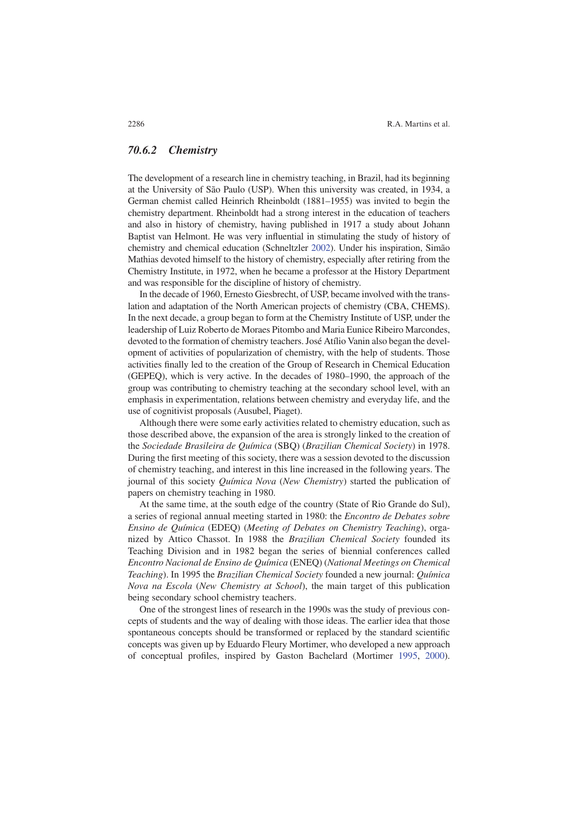## *70.6.2 Chemistry*

 The development of a research line in chemistry teaching, in Brazil, had its beginning at the University of São Paulo (USP). When this university was created, in 1934, a German chemist called Heinrich Rheinboldt (1881–1955) was invited to begin the chemistry department. Rheinboldt had a strong interest in the education of teachers and also in history of chemistry, having published in 1917 a study about Johann Baptist van Helmont. He was very influential in stimulating the study of history of chemistry and chemical education (Schneltzler 2002). Under his inspiration, Simão Mathias devoted himself to the history of chemistry, especially after retiring from the Chemistry Institute, in 1972, when he became a professor at the History Department and was responsible for the discipline of history of chemistry.

 In the decade of 1960, Ernesto Giesbrecht, of USP, became involved with the translation and adaptation of the North American projects of chemistry (CBA, CHEMS). In the next decade, a group began to form at the Chemistry Institute of USP, under the leadership of Luiz Roberto de Moraes Pitombo and Maria Eunice Ribeiro Marcondes, devoted to the formation of chemistry teachers. José Atílio Vanin also began the development of activities of popularization of chemistry, with the help of students. Those activities finally led to the creation of the Group of Research in Chemical Education (GEPEQ), which is very active. In the decades of 1980–1990, the approach of the group was contributing to chemistry teaching at the secondary school level, with an emphasis in experimentation, relations between chemistry and everyday life, and the use of cognitivist proposals (Ausubel, Piaget).

 Although there were some early activities related to chemistry education, such as those described above, the expansion of the area is strongly linked to the creation of the *Sociedade Brasileira de Química* (SBQ) ( *Brazilian Chemical Society* ) in 1978. During the first meeting of this society, there was a session devoted to the discussion of chemistry teaching, and interest in this line increased in the following years. The journal of this society *Química Nova* ( *New Chemistry* ) started the publication of papers on chemistry teaching in 1980.

 At the same time, at the south edge of the country (State of Rio Grande do Sul), a series of regional annual meeting started in 1980: the *Encontro de Debates sobre Ensino de Química* (EDEQ) ( *Meeting of Debates on Chemistry Teaching* ), organized by Attico Chassot. In 1988 the *Brazilian Chemical Society* founded its Teaching Division and in 1982 began the series of biennial conferences called *Encontro Nacional de Ensino de Química* (ENEQ) ( *National Meetings on Chemical Teaching* ). In 1995 the *Brazilian Chemical Society* founded a new journal: *Química Nova na Escola* ( *New Chemistry at School* ), the main target of this publication being secondary school chemistry teachers.

 One of the strongest lines of research in the 1990s was the study of previous concepts of students and the way of dealing with those ideas. The earlier idea that those spontaneous concepts should be transformed or replaced by the standard scientific concepts was given up by Eduardo Fleury Mortimer, who developed a new approach of conceptual profiles, inspired by Gaston Bachelard (Mortimer 1995, 2000).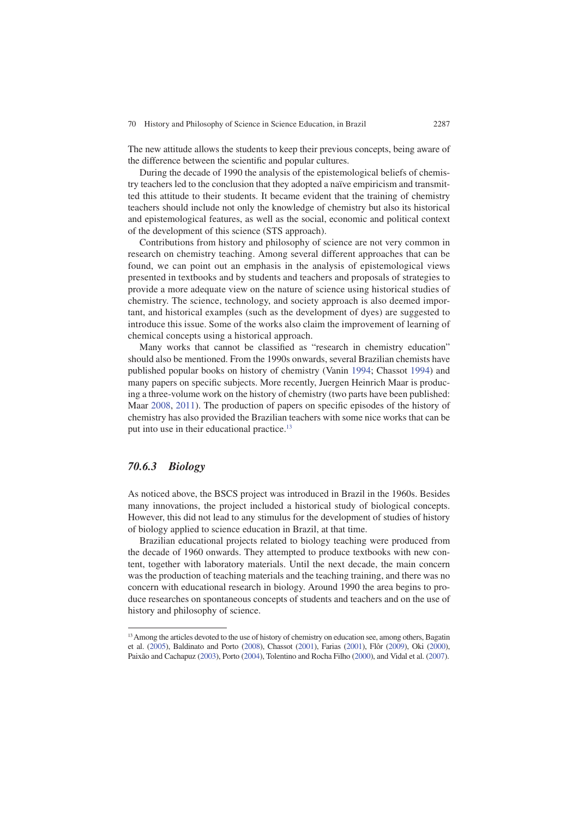The new attitude allows the students to keep their previous concepts, being aware of the difference between the scientific and popular cultures.

 During the decade of 1990 the analysis of the epistemological beliefs of chemistry teachers led to the conclusion that they adopted a naïve empiricism and transmitted this attitude to their students. It became evident that the training of chemistry teachers should include not only the knowledge of chemistry but also its historical and epistemological features, as well as the social, economic and political context of the development of this science (STS approach).

 Contributions from history and philosophy of science are not very common in research on chemistry teaching. Among several different approaches that can be found, we can point out an emphasis in the analysis of epistemological views presented in textbooks and by students and teachers and proposals of strategies to provide a more adequate view on the nature of science using historical studies of chemistry. The science, technology, and society approach is also deemed important, and historical examples (such as the development of dyes) are suggested to introduce this issue. Some of the works also claim the improvement of learning of chemical concepts using a historical approach.

Many works that cannot be classified as "research in chemistry education" should also be mentioned. From the 1990s onwards, several Brazilian chemists have published popular books on history of chemistry (Vanin 1994 ; Chassot 1994 ) and many papers on specific subjects. More recently, Juergen Heinrich Maar is producing a three-volume work on the history of chemistry (two parts have been published: Maar 2008, 2011). The production of papers on specific episodes of the history of chemistry has also provided the Brazilian teachers with some nice works that can be put into use in their educational practice.<sup>13</sup>

# *70.6.3 Biology*

 As noticed above, the BSCS project was introduced in Brazil in the 1960s. Besides many innovations, the project included a historical study of biological concepts. However, this did not lead to any stimulus for the development of studies of history of biology applied to science education in Brazil, at that time.

 Brazilian educational projects related to biology teaching were produced from the decade of 1960 onwards. They attempted to produce textbooks with new content, together with laboratory materials. Until the next decade, the main concern was the production of teaching materials and the teaching training, and there was no concern with educational research in biology. Around 1990 the area begins to produce researches on spontaneous concepts of students and teachers and on the use of history and philosophy of science.

<sup>&</sup>lt;sup>13</sup> Among the articles devoted to the use of history of chemistry on education see, among others, Bagatin et al. (2005), Baldinato and Porto (2008), Chassot (2001), Farias (2001), Flôr (2009), Oki (2000), Paixão and Cachapuz ( 2003), Porto ( 2004), Tolentino and Rocha Filho ( 2000), and Vidal et al. ( 2007).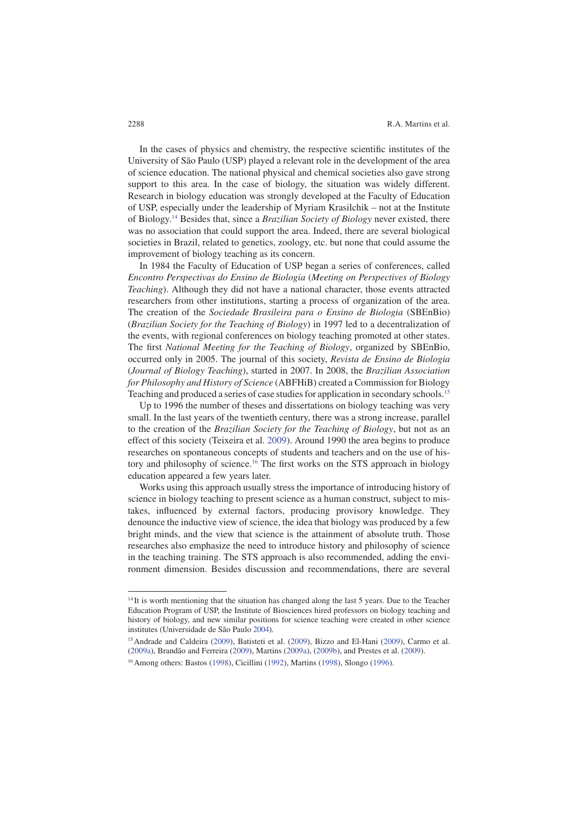In the cases of physics and chemistry, the respective scientific institutes of the University of São Paulo (USP) played a relevant role in the development of the area of science education. The national physical and chemical societies also gave strong support to this area. In the case of biology, the situation was widely different. Research in biology education was strongly developed at the Faculty of Education of USP, especially under the leadership of Myriam Krasilchik – not at the Institute of Biology. <sup>14</sup> Besides that, since a *Brazilian Society of Biology* never existed, there was no association that could support the area. Indeed, there are several biological societies in Brazil, related to genetics, zoology, etc. but none that could assume the improvement of biology teaching as its concern.

 In 1984 the Faculty of Education of USP began a series of conferences, called *Encontro Perspectivas do Ensino de Biologia* ( *Meeting on Perspectives of Biology Teaching* ). Although they did not have a national character, those events attracted researchers from other institutions, starting a process of organization of the area. The creation of the *Sociedade Brasileira para o Ensino de Biologia* (SBEnBio) ( *Brazilian Society for the Teaching of Biology* ) in 1997 led to a decentralization of the events, with regional conferences on biology teaching promoted at other states. The first *National Meeting for the Teaching of Biology*, organized by SBEnBio, occurred only in 2005. The journal of this society, *Revista de Ensino de Biologia* ( *Journal of Biology Teaching* ), started in 2007. In 2008, the *Brazilian Association for Philosophy and History of Science* (ABFHiB) created a Commission for Biology Teaching and produced a series of case studies for application in secondary schools. <sup>15</sup>

 Up to 1996 the number of theses and dissertations on biology teaching was very small. In the last years of the twentieth century, there was a strong increase, parallel to the creation of the *Brazilian Society for the Teaching of Biology* , but not as an effect of this society (Teixeira et al. 2009 ). Around 1990 the area begins to produce researches on spontaneous concepts of students and teachers and on the use of history and philosophy of science.<sup>16</sup> The first works on the STS approach in biology education appeared a few years later.

 Works using this approach usually stress the importance of introducing history of science in biology teaching to present science as a human construct, subject to mistakes, influenced by external factors, producing provisory knowledge. They denounce the inductive view of science, the idea that biology was produced by a few bright minds, and the view that science is the attainment of absolute truth. Those researches also emphasize the need to introduce history and philosophy of science in the teaching training. The STS approach is also recommended, adding the environment dimension. Besides discussion and recommendations, there are several

2288

<sup>&</sup>lt;sup>14</sup> It is worth mentioning that the situation has changed along the last 5 years. Due to the Teacher Education Program of USP, the Institute of Biosciences hired professors on biology teaching and history of biology, and new similar positions for science teaching were created in other science institutes (Universidade de São Paulo 2004).

<sup>&</sup>lt;sup>15</sup> Andrade and Caldeira (2009), Batisteti et al. (2009), Bizzo and El-Hani (2009), Carmo et al. (2009a), Brandão and Ferreira (2009), Martins (2009a), (2009b), and Prestes et al. (2009).

<sup>&</sup>lt;sup>16</sup> Among others: Bastos (1998), Cicillini (1992), Martins (1998), Slongo (1996).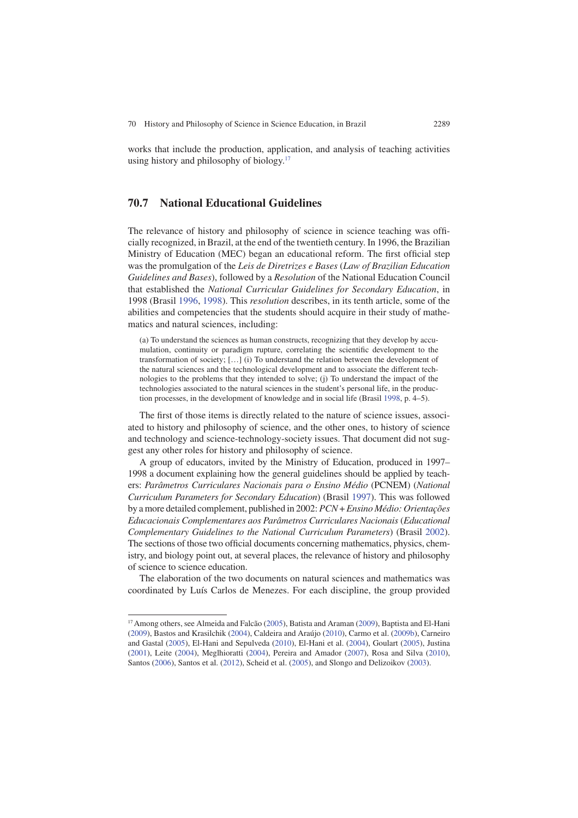works that include the production, application, and analysis of teaching activities using history and philosophy of biology. $17$ 

# **70.7 National Educational Guidelines**

The relevance of history and philosophy of science in science teaching was officially recognized, in Brazil, at the end of the twentieth century. In 1996, the Brazilian Ministry of Education (MEC) began an educational reform. The first official step was the promulgation of the *Leis de Diretrizes e Bases* (*Law of Brazilian Education Guidelines and Bases* ), followed by a *Resolution* of the National Education Council that established the *National Curricular Guidelines for Secondary Education* , in 1998 (Brasil 1996 , 1998 ). This *resolution* describes, in its tenth article, some of the abilities and competencies that the students should acquire in their study of mathematics and natural sciences, including:

 (a) To understand the sciences as human constructs, recognizing that they develop by accumulation, continuity or paradigm rupture, correlating the scientific development to the transformation of society; […] (i) To understand the relation between the development of the natural sciences and the technological development and to associate the different technologies to the problems that they intended to solve; (j) To understand the impact of the technologies associated to the natural sciences in the student's personal life, in the production processes, in the development of knowledge and in social life (Brasil 1998, p. 4–5).

The first of those items is directly related to the nature of science issues, associ-ated to history and philosophy of science, and the other ones, to history of science and technology and science-technology-society issues. That document did not suggest any other roles for history and philosophy of science.

 A group of educators, invited by the Ministry of Education, produced in 1997– 1998 a document explaining how the general guidelines should be applied by teachers: *Parâmetros Curriculares Nacionais para o Ensino Médio* (PCNEM) ( *National Curriculum Parameters for Secondary Education* ) (Brasil 1997 ). This was followed by a more detailed complement, published in 2002: *PCN + Ensino Médio: Orientações Educacionais Complementares aos Parâmetros Curriculares Nacionais* ( *Educational Complementary Guidelines to the National Curriculum Parameters*) (Brasil 2002). The sections of those two official documents concerning mathematics, physics, chemistry, and biology point out, at several places, the relevance of history and philosophy of science to science education.

 The elaboration of the two documents on natural sciences and mathematics was coordinated by Luís Carlos de Menezes. For each discipline, the group provided

<sup>&</sup>lt;sup>17</sup> Among others, see Almeida and Falcão (2005), Batista and Araman (2009), Baptista and El-Hani ( 2009 ), Bastos and Krasilchik ( 2004 ), Caldeira and Araújo ( 2010 ), Carmo et al. ( 2009b ), Carneiro and Gastal (2005), El-Hani and Sepulveda (2010), El-Hani et al. (2004), Goulart (2005), Justina ( 2001), Leite ( 2004), Meglhioratti ( 2004), Pereira and Amador ( 2007), Rosa and Silva ( 2010), Santos (2006), Santos et al. (2012), Scheid et al. (2005), and Slongo and Delizoikov (2003).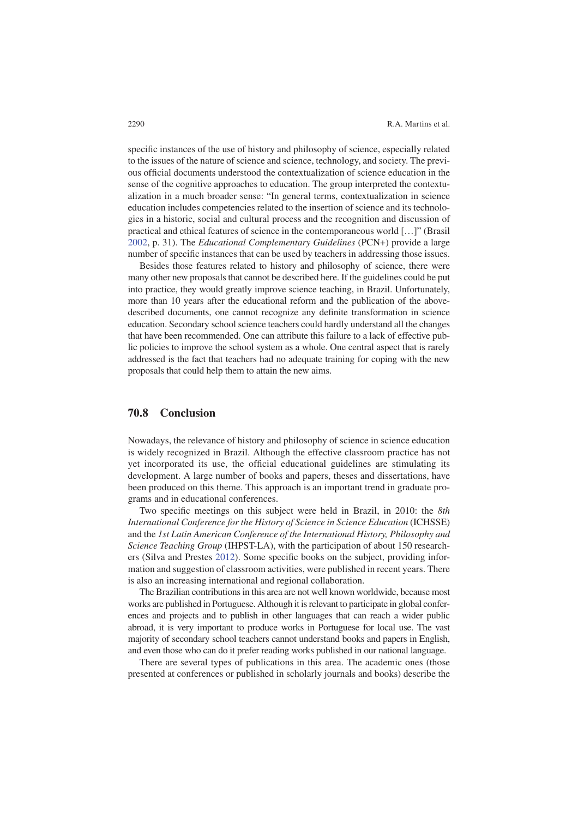specific instances of the use of history and philosophy of science, especially related to the issues of the nature of science and science, technology, and society. The previous official documents understood the contextualization of science education in the sense of the cognitive approaches to education. The group interpreted the contextualization in a much broader sense: "In general terms, contextualization in science education includes competencies related to the insertion of science and its technologies in a historic, social and cultural process and the recognition and discussion of practical and ethical features of science in the contemporaneous world […]" (Brasil 2002 , p. 31). The *Educational Complementary Guidelines* (PCN+) provide a large number of specific instances that can be used by teachers in addressing those issues.

 Besides those features related to history and philosophy of science, there were many other new proposals that cannot be described here. If the guidelines could be put into practice, they would greatly improve science teaching, in Brazil. Unfortunately, more than 10 years after the educational reform and the publication of the abovedescribed documents, one cannot recognize any definite transformation in science education. Secondary school science teachers could hardly understand all the changes that have been recommended. One can attribute this failure to a lack of effective public policies to improve the school system as a whole. One central aspect that is rarely addressed is the fact that teachers had no adequate training for coping with the new proposals that could help them to attain the new aims.

## **70.8 Conclusion**

 Nowadays, the relevance of history and philosophy of science in science education is widely recognized in Brazil. Although the effective classroom practice has not yet incorporated its use, the official educational guidelines are stimulating its development. A large number of books and papers, theses and dissertations, have been produced on this theme. This approach is an important trend in graduate programs and in educational conferences.

Two specific meetings on this subject were held in Brazil, in 2010: the *8th International Conference for the History of Science in Science Education* (ICHSSE) and the *1st Latin American Conference of the International History, Philosophy and Science Teaching Group* (IHPST-LA), with the participation of about 150 researchers (Silva and Prestes 2012). Some specific books on the subject, providing information and suggestion of classroom activities, were published in recent years. There is also an increasing international and regional collaboration.

 The Brazilian contributions in this area are not well known worldwide, because most works are published in Portuguese. Although it is relevant to participate in global conferences and projects and to publish in other languages that can reach a wider public abroad, it is very important to produce works in Portuguese for local use. The vast majority of secondary school teachers cannot understand books and papers in English, and even those who can do it prefer reading works published in our national language.

 There are several types of publications in this area. The academic ones (those presented at conferences or published in scholarly journals and books) describe the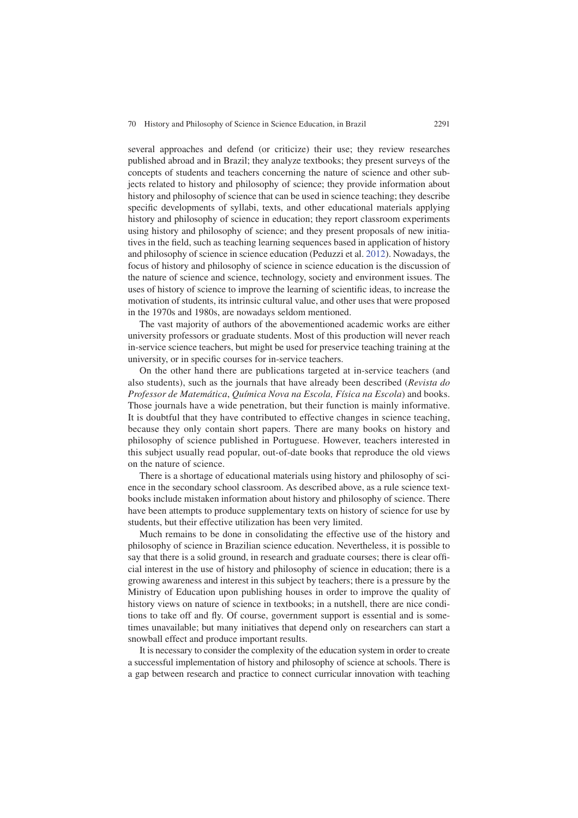several approaches and defend (or criticize) their use; they review researches published abroad and in Brazil; they analyze textbooks; they present surveys of the concepts of students and teachers concerning the nature of science and other subjects related to history and philosophy of science; they provide information about history and philosophy of science that can be used in science teaching; they describe specific developments of syllabi, texts, and other educational materials applying history and philosophy of science in education; they report classroom experiments using history and philosophy of science; and they present proposals of new initiatives in the field, such as teaching learning sequences based in application of history and philosophy of science in science education (Peduzzi et al. 2012 ). Nowadays, the focus of history and philosophy of science in science education is the discussion of the nature of science and science, technology, society and environment issues. The uses of history of science to improve the learning of scientific ideas, to increase the motivation of students, its intrinsic cultural value, and other uses that were proposed in the 1970s and 1980s, are nowadays seldom mentioned.

 The vast majority of authors of the abovementioned academic works are either university professors or graduate students. Most of this production will never reach in-service science teachers, but might be used for preservice teaching training at the university, or in specific courses for in-service teachers.

 On the other hand there are publications targeted at in-service teachers (and also students), such as the journals that have already been described ( *Revista do Professor de Matemática* , *Química Nova na Escola, Física na Escola* ) and books. Those journals have a wide penetration, but their function is mainly informative. It is doubtful that they have contributed to effective changes in science teaching, because they only contain short papers. There are many books on history and philosophy of science published in Portuguese. However, teachers interested in this subject usually read popular, out-of-date books that reproduce the old views on the nature of science.

 There is a shortage of educational materials using history and philosophy of science in the secondary school classroom. As described above, as a rule science textbooks include mistaken information about history and philosophy of science. There have been attempts to produce supplementary texts on history of science for use by students, but their effective utilization has been very limited.

 Much remains to be done in consolidating the effective use of the history and philosophy of science in Brazilian science education. Nevertheless, it is possible to say that there is a solid ground, in research and graduate courses; there is clear official interest in the use of history and philosophy of science in education; there is a growing awareness and interest in this subject by teachers; there is a pressure by the Ministry of Education upon publishing houses in order to improve the quality of history views on nature of science in textbooks; in a nutshell, there are nice conditions to take off and fly. Of course, government support is essential and is sometimes unavailable; but many initiatives that depend only on researchers can start a snowball effect and produce important results.

 It is necessary to consider the complexity of the education system in order to create a successful implementation of history and philosophy of science at schools. There is a gap between research and practice to connect curricular innovation with teaching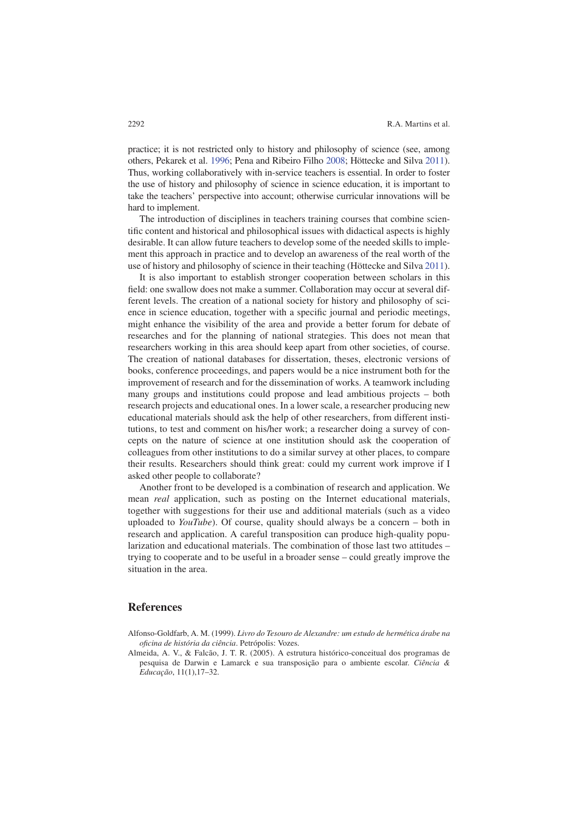practice; it is not restricted only to history and philosophy of science (see, among others, Pekarek et al. 1996 ; Pena and Ribeiro Filho 2008 ; Höttecke and Silva 2011 ). Thus, working collaboratively with in-service teachers is essential. In order to foster the use of history and philosophy of science in science education, it is important to take the teachers' perspective into account; otherwise curricular innovations will be hard to implement.

 The introduction of disciplines in teachers training courses that combine scientific content and historical and philosophical issues with didactical aspects is highly desirable. It can allow future teachers to develop some of the needed skills to implement this approach in practice and to develop an awareness of the real worth of the use of history and philosophy of science in their teaching (Höttecke and Silva 2011 ).

 It is also important to establish stronger cooperation between scholars in this field: one swallow does not make a summer. Collaboration may occur at several different levels. The creation of a national society for history and philosophy of science in science education, together with a specific journal and periodic meetings, might enhance the visibility of the area and provide a better forum for debate of researches and for the planning of national strategies. This does not mean that researchers working in this area should keep apart from other societies, of course. The creation of national databases for dissertation, theses, electronic versions of books, conference proceedings, and papers would be a nice instrument both for the improvement of research and for the dissemination of works. A teamwork including many groups and institutions could propose and lead ambitious projects – both research projects and educational ones. In a lower scale, a researcher producing new educational materials should ask the help of other researchers, from different institutions, to test and comment on his/her work; a researcher doing a survey of concepts on the nature of science at one institution should ask the cooperation of colleagues from other institutions to do a similar survey at other places, to compare their results. Researchers should think great: could my current work improve if I asked other people to collaborate?

 Another front to be developed is a combination of research and application. We mean *real* application, such as posting on the Internet educational materials, together with suggestions for their use and additional materials (such as a video uploaded to *YouTube*). Of course, quality should always be a concern – both in research and application. A careful transposition can produce high-quality popularization and educational materials. The combination of those last two attitudes – trying to cooperate and to be useful in a broader sense – could greatly improve the situation in the area.

### **References**

- Alfonso-Goldfarb, A. M. (1999). *Livro do Tesouro de Alexandre: um estudo de hermética árabe na ofi cina de história da ciência* . Petrópolis: Vozes.
- Almeida, A. V., & Falcão, J. T. R. (2005). A estrutura histórico-conceitual dos programas de pesquisa de Darwin e Lamarck e sua transposição para o ambiente escolar. *Ciência & Educação* , 11(1),17–32.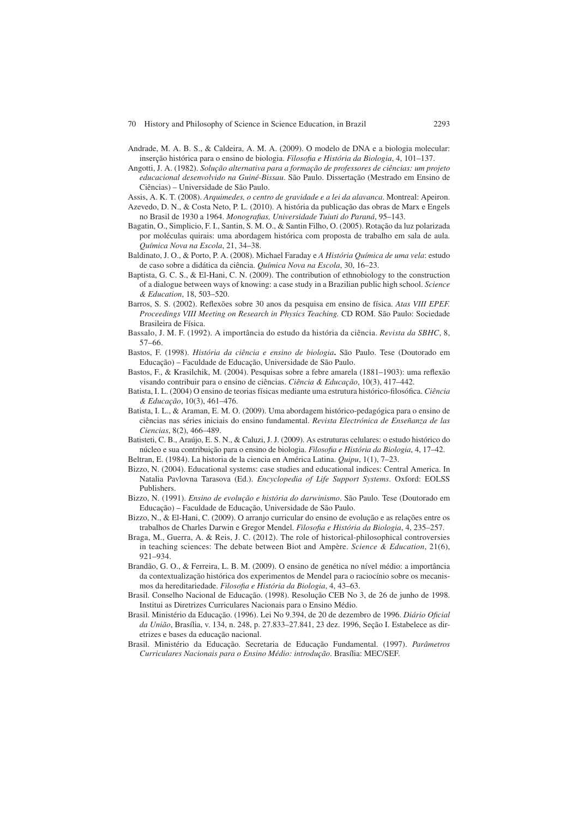- Andrade, M. A. B. S., & Caldeira, A. M. A. (2009). O modelo de DNA e a biologia molecular: inserção histórica para o ensino de biologia. *Filosofia e História da Biologia*, 4, 101–137.
- Angotti, J. A. (1982). *Solução alternativa para a formação de professores de ciências: um projeto educacional desenvolvido na Guiné-Bissau* . São Paulo. Dissertação (Mestrado em Ensino de Ciências) – Universidade de São Paulo.
- Assis, A. K. T. (2008). *Arquimedes, o centro de gravidade e a lei da alavanca* . Montreal: Apeiron.
- Azevedo, D. N., & Costa Neto, P. L. (2010). A história da publicação das obras de Marx e Engels no Brasil de 1930 a 1964. Monografias, Universidade Tuiuti do Paraná, 95-143.
- Bagatin, O., Simplicio, F. I., Santin, S. M. O., & Santin Filho, O. (2005). Rotação da luz polarizada por moléculas quirais: uma abordagem histórica com proposta de trabalho em sala de aula. *Química Nova na Escola* , 21, 34–38.
- Baldinato, J. O., & Porto, P. A. (2008). Michael Faraday e *A História Química de uma vela* : estudo de caso sobre a didática da ciência. *Química Nova na Escola* , 30, 16–23.
- Baptista, G. C. S., & El-Hani, C. N. (2009). The contribution of ethnobiology to the construction of a dialogue between ways of knowing: a case study in a Brazilian public high school. *Science & Education* , 18, 503–520.
- Barros, S. S. (2002). Reflexões sobre 30 anos da pesquisa em ensino de física. *Atas VIII EPEF*. *Proceedings VIII Meeting on Research in Physics Teaching.* CD ROM. São Paulo: Sociedade Brasileira de Física.
- Bassalo, J. M. F. (1992). A importância do estudo da história da ciência. *Revista da SBHC* , 8, 57–66.
- Bastos, F. (1998). *História da ciência e ensino de biologia***.** São Paulo. Tese (Doutorado em Educação) – Faculdade de Educação, Universidade de São Paulo.
- Bastos, F., & Krasilchik, M. (2004). Pesquisas sobre a febre amarela (1881–1903): uma reflexão visando contribuir para o ensino de ciências. *Ciência & Educação* , 10(3), 417–442.
- Batista, I. L. (2004) O ensino de teorias físicas mediante uma estrutura histórico-filosófica. *Ciência & Educação* , 10(3), 461–476.
- Batista, I. L., & Araman, E. M. O. (2009). Uma abordagem histórico-pedagógica para o ensino de ciências nas séries iniciais do ensino fundamental. *Revista Electrónica de Enseñanza de las Ciencias* , 8(2), 466–489.
- Batisteti, C. B., Araújo, E. S. N., & Caluzi, J. J. (2009). As estruturas celulares: o estudo histórico do núcleo e sua contribuição para o ensino de biologia. *Filosofia e História da Biologia*, 4, 17-42.
- Beltran, E. (1984). La historia de la ciencia en América Latina. *Quipu*, 1(1), 7–23.
- Bizzo, N. (2004). Educational systems: case studies and educational indices: Central America. In Natalia Pavlovna Tarasova (Ed.). *Encyclopedia of Life Support Systems* . Oxford: EOLSS Publishers.
- Bizzo, N. (1991). *Ensino de evolução e história do darwinismo* . São Paulo. Tese (Doutorado em Educação) – Faculdade de Educação, Universidade de São Paulo.
- Bizzo, N., & El-Hani, C. (2009). O arranjo curricular do ensino de evolução e as relações entre os trabalhos de Charles Darwin e Gregor Mendel. *Filosofia e História da Biologia*, 4, 235-257.
- Braga, M., Guerra, A. & Reis, J. C. (2012). The role of historical-philosophical controversies in teaching sciences: The debate between Biot and Ampère. *Science & Education* , 21(6), 921–934.
- Brandão, G. O., & Ferreira, L. B. M. (2009). O ensino de genética no nível médio: a importância da contextualização histórica dos experimentos de Mendel para o raciocínio sobre os mecanismos da hereditariedade. *Filosofia e História da Biologia*, 4, 43-63.
- Brasil. Conselho Nacional de Educação. (1998). Resolução CEB No 3, de 26 de junho de 1998. Institui as Diretrizes Curriculares Nacionais para o Ensino Médio.
- Brasil. Ministério da Educação. (1996). Lei No 9.394, de 20 de dezembro de 1996. *Diário Oficial da União* , Brasília, v. 134, n. 248, p. 27.833–27.841, 23 dez. 1996, Seção I. Estabelece as diretrizes e bases da educação nacional.
- Brasil. Ministério da Educação. Secretaria de Educação Fundamental. (1997). *Parâmetros Curriculares Nacionais para o Ensino Médio: introdução* . Brasília: MEC/SEF.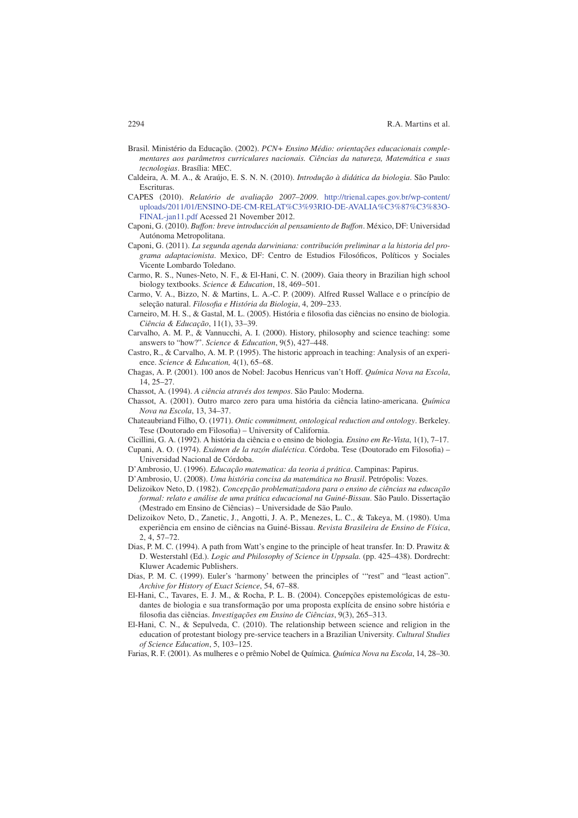- Brasil. Ministério da Educação. (2002). *PCN+ Ensino Médio: orientações educacionais complementares aos parâmetros curriculares nacionais. Ciências da natureza, Matemática e suas tecnologias* . Brasília: MEC.
- Caldeira, A. M. A., & Araújo, E. S. N. N. (2010). *Introdução à didática da biologia* . São Paulo: Escrituras.
- CAPES (2010). *Relatório de avaliação 2007–2009* . http://trienal.capes.gov.br/wp-content/ uploads/2011/01/ENSINO-DE-CM-RELAT%C3%93RIO-DE-AVALIA%C3%87%C3%83O-FINAL- jan11.pdf Acessed 21 November 2012.
- Caponi, G. (2010). *Buffon: breve introducción al pensamiento de Buffon* . México, DF: Universidad Autónoma Metropolitana.
- Caponi, G. (2011). *La segunda agenda darwiniana: contribución preliminar a la historia del programa adaptacionista*. Mexico, DF: Centro de Estudios Filosóficos, Políticos y Sociales Vicente Lombardo Toledano.
- Carmo, R. S., Nunes-Neto, N. F., & El-Hani, C. N. (2009). Gaia theory in Brazilian high school biology textbooks. *Science & Education*, 18, 469-501.
- Carmo, V. A., Bizzo, N. & Martins, L. A.-C. P. (2009). Alfred Russel Wallace e o princípio de seleção natural. *Filosofia e História da Biologia*, 4, 209-233.
- Carneiro, M. H. S., & Gastal, M. L. (2005). História e filosofia das ciências no ensino de biologia. *Ciência & Educação* , 11(1), 33–39.
- Carvalho, A. M. P., & Vannucchi, A. I. (2000). History, philosophy and science teaching: some answers to "how?". *Science & Education* , 9(5), 427–448.
- Castro, R., & Carvalho, A. M. P. (1995). The historic approach in teaching: Analysis of an experience. *Science & Education,* 4(1), 65–68.
- Chagas, A. P. (2001). 100 anos de Nobel: Jacobus Henricus van't Hoff. *Química Nova na Escola* , 14, 25–27.
- Chassot, A. (1994). *A ciência através dos tempos* . São Paulo: Moderna.
- Chassot, A. (2001). Outro marco zero para uma história da ciência latino-americana. *Química Nova na Escola* , 13, 34–37.
- Chateaubriand Filho, O. (1971). *Ontic commitment, ontological reduction and ontology* . Berkeley. Tese (Doutorado em Filosofia) - University of California.
- Cicillini, G. A. (1992). A história da ciência e o ensino de biologia *. Ensino em Re-Vista* , 1(1), 7–17.
- Cupani, A. O. (1974). *Exámen de la razón dialéctica*. Córdoba. Tese (Doutorado em Filosofia) Universidad Nacional de Córdoba.
- D'Ambrosio, U. (1996). *Educação matematica: da teoria á prática* . Campinas: Papirus.
- D'Ambrosio, U. (2008). *Uma história concisa da matemática no Brasil* . Petrópolis: Vozes.
- Delizoikov Neto, D. (1982). *Concepção problematizadora para o ensino de ciências na educação formal: relato e análise de uma prática educacional na Guiné-Bissau* . São Paulo. Dissertação (Mestrado em Ensino de Ciências) – Universidade de São Paulo.
- Delizoikov Neto, D., Zanetic, J., Angotti, J. A. P., Menezes, L. C., & Takeya, M. (1980). Uma experiência em ensino de ciências na Guiné-Bissau. *Revista Brasileira de Ensino de Física* , 2, 4, 57–72.
- Dias, P. M. C. (1994). A path from Watt's engine to the principle of heat transfer. In: D. Prawitz & D. Westerstahl (Ed.). *Logic and Philosophy of Science in Uppsala.* (pp. 425–438). Dordrecht: Kluwer Academic Publishers.
- Dias, P. M. C. (1999). Euler's 'harmony' between the principles of '"rest" and "least action". *Archive for History of Exact Science* , 54, 67–88.
- El-Hani, C., Tavares, E. J. M., & Rocha, P. L. B. (2004). Concepções epistemológicas de estudantes de biologia e sua transformação por uma proposta explícita de ensino sobre história e filosofia das ciências. *Investigações em Ensino de Ciências*, 9(3), 265-313.
- El-Hani, C. N., & Sepulveda, C. (2010). The relationship between science and religion in the education of protestant biology pre-service teachers in a Brazilian University. *Cultural Studies of Science Education* , 5, 103–125.
- Farias, R. F. (2001). As mulheres e o prêmio Nobel de Química. *Química Nova na Escola* , 14, 28–30.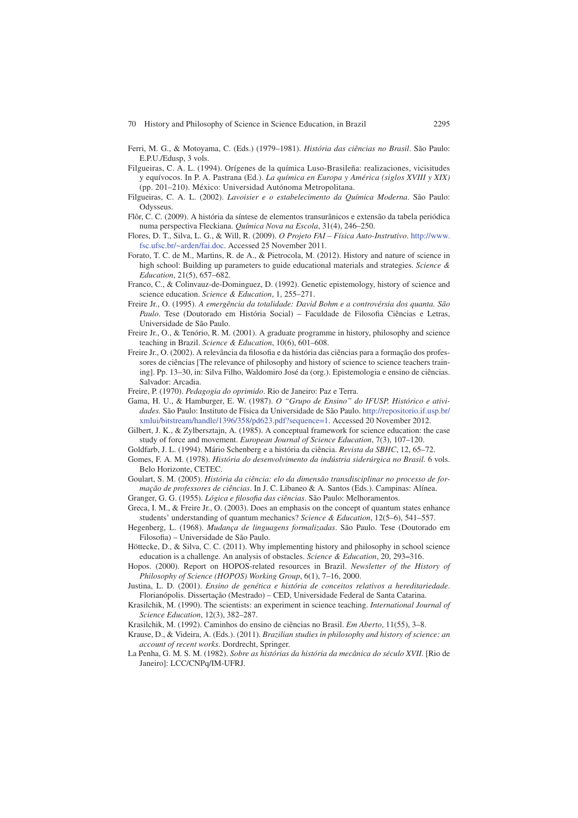- Ferri, M. G., & Motoyama, C. (Eds.) (1979–1981). *História das ciências no Brasil* . São Paulo: E.P.U./Edusp, 3 vols.
- Filgueiras, C. A. L. (1994). Orígenes de la química Luso-Brasileña: realizaciones, vicisitudes y equívocos. In P. A. Pastrana (Ed.). *La química en Europa y América (siglos XVIII y XIX)* (pp. 201–210). México: Universidad Autónoma Metropolitana.
- Filgueiras, C. A. L. (2002). *Lavoisier e o estabelecimento da Química Moderna* . São Paulo: Odysseus.
- Flôr, C. C. (2009). A história da síntese de elementos transurânicos e extensão da tabela periódica numa perspectiva Fleckiana. *Química Nova na Escola* , 31(4), 246–250.
- Flores, D. T., Silva, L. G., & Will, R. (2009). *O Projeto FAI Física Auto-Instrutivo* . http://www. fsc.ufsc.br/~arden/fai.doc. Accessed 25 November 2011.
- Forato, T. C. de M., Martins, R. de A., & Pietrocola, M. (2012). History and nature of science in high school: Building up parameters to guide educational materials and strategies. *Science & Education* , 21(5), 657–682.
- Franco, C., & Colinvauz-de-Dominguez, D. (1992). Genetic epistemology, history of science and science education. *Science & Education*, 1, 255–271.
- Freire Jr., O. (1995). *A emergência da totalidade: David Bohm e a controvérsia dos quanta. São*  Paulo. Tese (Doutorado em História Social) – Faculdade de Filosofia Ciências e Letras, Universidade de São Paulo.
- Freire Jr., O., & Tenório, R. M. (2001). A graduate programme in history, philosophy and science teaching in Brazil. *Science & Education* , 10(6), 601–608.
- Freire Jr., O. (2002). A relevância da filosofia e da história das ciências para a formação dos professores de ciências [The relevance of philosophy and history of science to science teachers training]. Pp. 13–30, in: Silva Filho, Waldomiro José da (org.). Epistemologia e ensino de ciências. Salvador: Arcadia.
- Freire, P. (1970). *Pedagogia do oprimido* . Rio de Janeiro: Paz e Terra.
- Gama, H. U., & Hamburger, E. W. (1987). *O "Grupo de Ensino" do IFUSP. Histórico e atividades.* São Paulo: Instituto de Física da Universidade de São Paulo. http://repositorio.if.usp.br/ xmlui/bitstream/handle/1396/358/pd623.pdf?sequence=1. Accessed 20 November 2012.
- Gilbert, J. K., & Zylbersztajn, A. (1985). A conceptual framework for science education: the case study of force and movement. *European Journal of Science Education* , 7(3), 107–120.
- Goldfarb, J. L. (1994). Mário Schenberg e a história da ciência. *Revista da SBHC* , 12, 65–72.
- Gomes, F. A. M. (1978). *História do desenvolvimento da indústria siderúrgica no Brasil* . 6 vols. Belo Horizonte, CETEC.
- Goulart, S. M. (2005). *História da ciência: elo da dimensão transdisciplinar no processo de formação de professores de ciências* . In J. C. Libaneo & A. Santos (Eds.). Campinas: Alínea.
- Granger, G. G. (1955). *Lógica e filosofia das ciências*. São Paulo: Melhoramentos.
- Greca, I. M., & Freire Jr., O. (2003). Does an emphasis on the concept of quantum states enhance students' understanding of quantum mechanics? *Science & Education* , 12(5–6), 541–557.
- Hegenberg, L. (1968). *Mudança de linguagens formalizadas* . São Paulo. Tese (Doutorado em Filosofia) – Universidade de São Paulo.
- Höttecke, D., & Silva, C. C. (2011). Why implementing history and philosophy in school science education is a challenge. An analysis of obstacles. *Science & Education*, 20, 293-316.
- Hopos. (2000). Report on HOPOS-related resources in Brazil. *Newsletter of the History of Philosophy of Science (HOPOS) Working Group* , 6(1), 7–16, 2000.
- Justina, L. D. (2001). *Ensino de genética e história de conceitos relativos a hereditariedade* . Florianópolis. Dissertação (Mestrado) – CED, Universidade Federal de Santa Catarina.
- Krasilchik, M. (1990). The scientists: an experiment in science teaching. *International Journal of Science Education*, 12(3), 382-287.
- Krasilchik, M. (1992). Caminhos do ensino de ciências no Brasil. *Em Aberto* , 11(55), 3–8.
- Krause, D., & Videira, A. (Eds.). (2011). *Brazilian studies in philosophy and history of science: an account of recent works* . Dordrecht, Springer.
- La Penha, G. M. S. M. (1982). *Sobre as histórias da história da mecânica do século XVII* . [Rio de Janeiro]: LCC/CNPq/IM-UFRJ.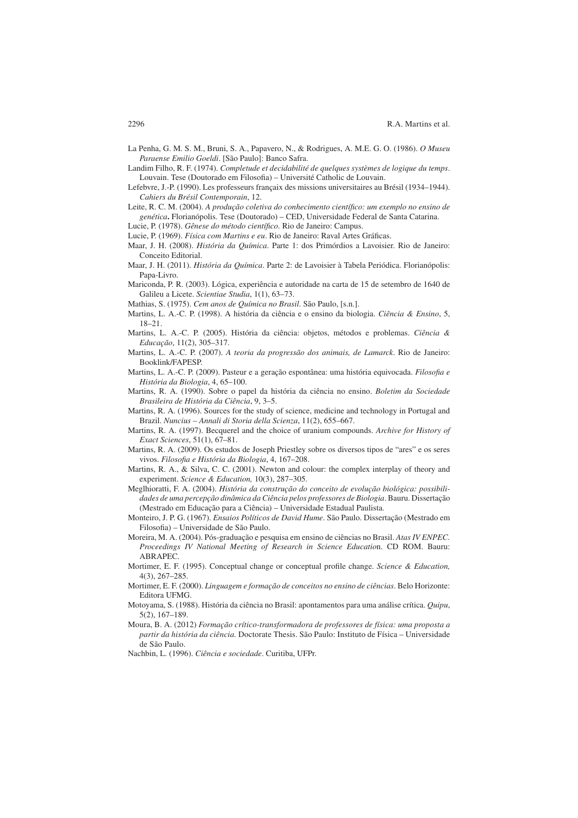- La Penha, G. M. S. M., Bruni, S. A., Papavero, N., & Rodrigues, A. M.E. G. O. (1986). *O Museu Paraense Emilio Goeldi* . [São Paulo]: Banco Safra.
- Landim Filho, R. F. (1974). *Completude et decidabilité de quelques systèmes de logique du temps* . Louvain. Tese (Doutorado em Filosofia) – Université Catholic de Louvain.
- Lefebvre, J.-P. (1990). Les professeurs françaix des missions universitaires au Brésil (1934–1944). *Cahiers du Brésil Contemporain* , 12.
- Leite, R. C. M. (2004). A produção coletiva do conhecimento científico: um exemplo no ensino de *genética***.** Florianópolis. Tese (Doutorado) – CED, Universidade Federal de Santa Catarina.
- Lucie, P. (1978). *Gênese do método científico*. Rio de Janeiro: Campus.
- Lucie, P. (1969). *Física com Martins e eu*. Rio de Janeiro: Raval Artes Gráficas.
- Maar, J. H. (2008). *História da Química* . Parte 1: dos Primórdios a Lavoisier. Rio de Janeiro: Conceito Editorial.
- Maar, J. H. (2011). *História da Química* . Parte 2: de Lavoisier à Tabela Periódica. Florianópolis: Papa-Livro.
- Mariconda, P. R. (2003). Lógica, experiência e autoridade na carta de 15 de setembro de 1640 de Galileu a Licete. *Scientiae Studia* , 1(1), 63–73.
- Mathias, S. (1975). *Cem anos de Química no Brasil* . São Paulo, [s.n.].
- Martins, L. A.-C. P. (1998). A história da ciência e o ensino da biologia. *Ciência & Ensino* , 5, 18–21.
- Martins, L. A.-C. P. (2005). História da ciência: objetos, métodos e problemas. *Ciência & Educação* , 11(2), 305–317.
- Martins, L. A.-C. P. (2007). *A teoria da progressão dos animais, de Lamarck* . Rio de Janeiro: Booklink/FAPESP.
- Martins, L. A.-C. P. (2009). Pasteur e a geração espontânea: uma história equivocada. *Filosofia e História da Biologia* , 4, 65–100.
- Martins, R. A. (1990). Sobre o papel da história da ciência no ensino. *Boletim da Sociedade Brasileira de História da Ciência* , 9, 3–5.
- Martins, R. A. (1996). Sources for the study of science, medicine and technology in Portugal and Brazil. *Nuncius – Annali di Storia della Scienza* , 11(2), 655–667.
- Martins, R. A. (1997). Becquerel and the choice of uranium compounds. *Archive for History of Exact Sciences* , 51(1), 67–81.
- Martins, R. A. (2009). Os estudos de Joseph Priestley sobre os diversos tipos de "ares" e os seres vivos. *Filosofia e História da Biologia*, 4, 167-208.
- Martins, R. A., & Silva, C. C. (2001). Newton and colour: the complex interplay of theory and experiment. *Science & Education,* 10(3), 287–305.
- Meglhioratti, F. A. (2004). *História da construção do conceito de evolução biológica: possibilidades de uma percepção dinâmica da Ciência pelos professores de Biologia* . Bauru. Dissertação (Mestrado em Educação para a Ciência) – Universidade Estadual Paulista.
- Monteiro, J. P. G. (1967). *Ensaios Políticos de David Hume* . São Paulo. Dissertação (Mestrado em Filosofia) – Universidade de São Paulo.
- Moreira, M. A. (2004). Pós-graduação e pesquisa em ensino de ciências no Brasil. *Atas IV ENPEC. Proceedings IV National Meeting of Research in Science Education. CD ROM. Bauru:* ABRAPEC.
- Mortimer, E. F. (1995). Conceptual change or conceptual profile change. *Science & Education*, 4(3), 267–285.
- Mortimer, E. F. (2000). *Linguagem e formação de conceitos no ensino de ciências* . Belo Horizonte: Editora UFMG.
- Motoyama, S. (1988). História da ciência no Brasil: apontamentos para uma análise crítica. *Quipu* , 5(2), 167–189.
- Moura, B. A. (2012) *Formação crítico-transformadora de professores de física: uma proposta a partir da história da ciência.* Doctorate Thesis. São Paulo: Instituto de Física – Universidade de São Paulo.
- Nachbin, L. (1996). *Ciência e sociedade* . Curitiba, UFPr.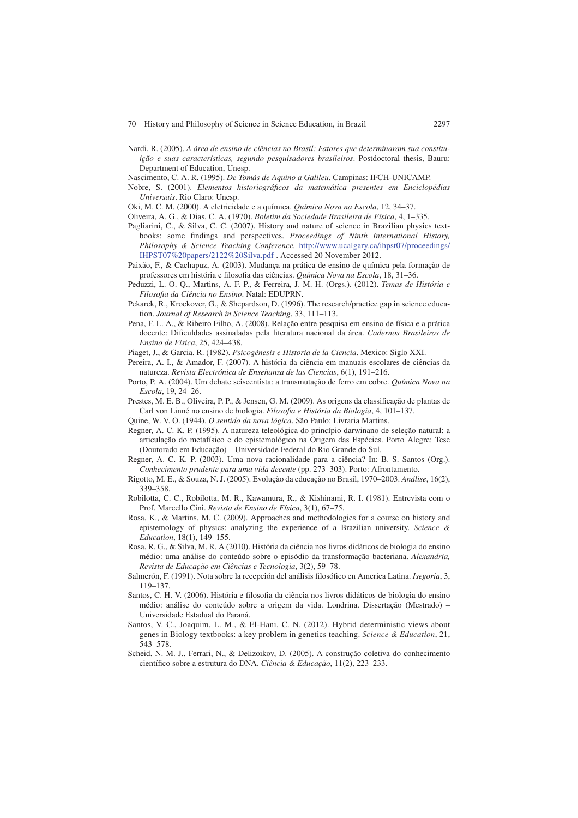Nardi, R. (2005). *A área de ensino de ciências no Brasil: Fatores que determinaram sua constituição e suas características, segundo pesquisadores brasileiros* . Postdoctoral thesis, Bauru: Department of Education, Unesp.

Nascimento, C. A. R. (1995). *De Tomás de Aquino a Galileu* . Campinas: IFCH-UNICAMP.

Nobre, S. (2001). *Elementos historiográficos da matemática presentes em Enciclopédias Universais* . Rio Claro: Unesp.

Oki, M. C. M. (2000). A eletricidade e a química. *Química Nova na Escola* , 12, 34–37.

Oliveira, A. G., & Dias, C. A. (1970). *Boletim da Sociedade Brasileira de Física* , 4, 1–335.

- Pagliarini, C., & Silva, C. C. (2007). History and nature of science in Brazilian physics textbooks: some findings and perspectives. *Proceedings of Ninth International History*, *Philosophy & Science Teaching Conference.* http://www.ucalgary.ca/ihpst07/proceedings/ IHPST07%20papers/2122%20Silva.pdf . Accessed 20 November 2012.
- Paixão, F., & Cachapuz, A. (2003). Mudança na prática de ensino de química pela formação de professores em história e filosofia das ciências. *Química Nova na Escola*, 18, 31-36.
- Peduzzi, L. O. Q., Martins, A. F. P., & Ferreira, J. M. H. (Orgs.). (2012). *Temas de História e*   $Filosofia$  da Ciência no Ensino. Natal: EDUPRN.
- Pekarek, R., Krockover, G., & Shepardson, D. (1996). The research/practice gap in science education. *Journal of Research in Science Teaching* , 33, 111–113.
- Pena, F. L. A., & Ribeiro Filho, A. (2008). Relação entre pesquisa em ensino de física e a prática docente: Dificuldades assinaladas pela literatura nacional da área. Cadernos Brasileiros de *Ensino de Física* , 25, 424–438.
- Piaget, J., & Garcia, R. (1982). *Psicogénesis e Historia de la Ciencia* . Mexico: Siglo XXI.
- Pereira, A. I., & Amador, F. (2007). A história da ciência em manuais escolares de ciências da natureza. *Revista Electrónica de Enseñanza de las Ciencias* , 6(1), 191–216.
- Porto, P. A. (2004). Um debate seiscentista: a transmutação de ferro em cobre. *Química Nova na Escola* , 19, 24–26.
- Prestes, M. E. B., Oliveira, P. P., & Jensen, G. M. (2009). As origens da classificação de plantas de Carl von Linné no ensino de biologia. *Filosofia e História da Biologia*, 4, 101-137.

Quine, W. V. O. (1944). *O sentido da nova lógica* . São Paulo: Livraria Martins.

- Regner, A. C. K. P. (1995). A natureza teleológica do princípio darwinano de seleção natural: a articulação do metafísico e do epistemológico na Origem das Espécies. Porto Alegre: Tese (Doutorado em Educação) – Universidade Federal do Rio Grande do Sul.
- Regner, A. C. K. P. (2003). Uma nova racionalidade para a ciência? In: B. S. Santos (Org.). *Conhecimento prudente para uma vida decente* (pp. 273–303). Porto: Afrontamento.
- Rigotto, M. E., & Souza, N. J. (2005). Evolução da educação no Brasil, 1970–2003. *Análise* , 16(2), 339–358.
- Robilotta, C. C., Robilotta, M. R., Kawamura, R., & Kishinami, R. I. (1981). Entrevista com o Prof. Marcello Cini. *Revista de Ensino de Física* , 3(1), 67–75.
- Rosa, K., & Martins, M. C. (2009). Approaches and methodologies for a course on history and epistemology of physics: analyzing the experience of a Brazilian university. *Science & Education*, 18(1), 149-155.
- Rosa, R. G., & Silva, M. R. A (2010). História da ciência nos livros didáticos de biologia do ensino médio: uma análise do conteúdo sobre o episódio da transformação bacteriana. *Alexandria, Revista de Educação em Ciências e Tecnologia* , 3(2), 59–78.
- Salmerón, F. (1991). Nota sobre la recepción del análisis filosófico en America Latina. *Isegoria*, 3, 119–137.
- Santos, C. H. V. (2006). História e filosofia da ciência nos livros didáticos de biologia do ensino médio: análise do conteúdo sobre a origem da vida. Londrina. Dissertação (Mestrado) – Universidade Estadual do Paraná.
- Santos, V. C., Joaquim, L. M., & El-Hani, C. N. (2012). Hybrid deterministic views about genes in Biology textbooks: a key problem in genetics teaching. *Science & Education* , 21, 543–578.
- Scheid, N. M. J., Ferrari, N., & Delizoikov, D. (2005). A construção coletiva do conhecimento científico sobre a estrutura do DNA. Ciência & Educação, 11(2), 223-233.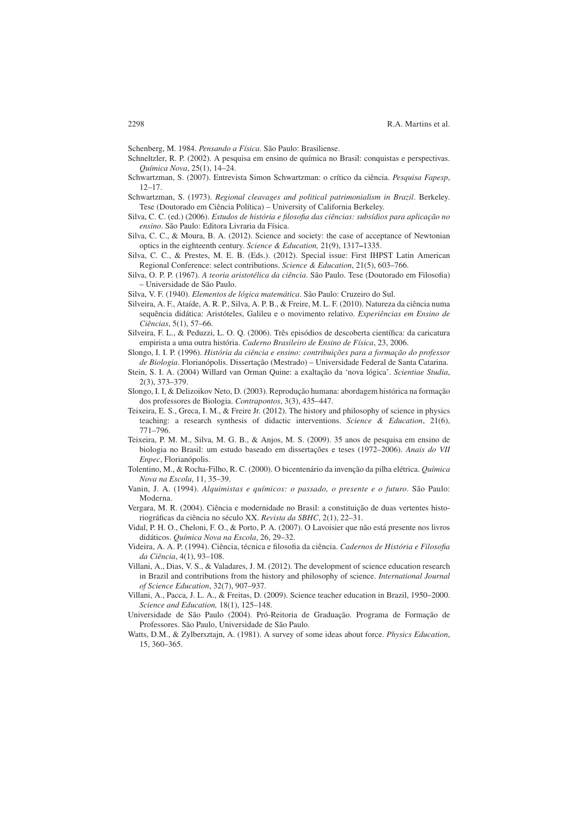Schenberg, M. 1984. *Pensando a Física* . São Paulo: Brasiliense.

- Schneltzler, R. P. (2002). A pesquisa em ensino de química no Brasil: conquistas e perspectivas. *Química Nova* , 25(1), 14–24.
- Schwartzman, S. (2007). Entrevista Simon Schwartzman: o crítico da ciência. *Pesquisa Fapesp* , 12–17.
- Schwartzman, S. (1973). *Regional cleavages and political patrimonialism in Brazil* . Berkeley. Tese (Doutorado em Ciência Política) – University of California Berkeley.
- Silva, C. C. (ed.) (2006). *Estudos de história e filosofia das ciências: subsídios para aplicação no ensino* . São Paulo: Editora Livraria da Física.
- Silva, C. C., & Moura, B. A. (2012). Science and society: the case of acceptance of Newtonian optics in the eighteenth century. *Science & Education,* 21(9), 1317 **–** 1335.
- Silva, C. C., & Prestes, M. E. B. (Eds.). (2012). Special issue: First IHPST Latin American Regional Conference: select contributions. *Science & Education*, 21(5), 603-766.
- Silva, O. P. P. (1967). *A teoria aristotélica da ciência*. São Paulo. Tese (Doutorado em Filosofia) – Universidade de São Paulo.

Silva, V. F. (1940). *Elementos de lógica matemática* . São Paulo: Cruzeiro do Sul.

- Silveira, A. F., Ataíde, A. R. P., Silva, A. P. B., & Freire, M. L. F. (2010). Natureza da ciência numa sequência didática: Aristóteles, Galileu e o movimento relativo. *Experiências em Ensino de Ciências* , 5(1), 57–66.
- Silveira, F. L., & Peduzzi, L. O. Q. (2006). Três episódios de descoberta científica: da caricatura empirista a uma outra história. *Caderno Brasileiro de Ensino de Física* , 23, 2006.
- Slongo, I. I. P. (1996). *História da ciência e ensino: contribuições para a formação do professor de Biologia* . Florianópolis. Dissertação (Mestrado) – Universidade Federal de Santa Catarina.
- Stein, S. I. A. (2004) Willard van Orman Quine: a exaltação da 'nova lógica'. *Scientiae Studia* , 2(3), 373–379.
- Slongo, I. I, & Delizoikov Neto, D. (2003). Reprodução humana: abordagem histórica na formação dos professores de Biologia. *Contrapontos* , 3(3), 435–447.
- Teixeira, E. S., Greca, I. M., & Freire Jr. (2012). The history and philosophy of science in physics teaching: a research synthesis of didactic interventions. *Science & Education*, 21(6), 771–796.
- Teixeira, P. M. M., Silva, M. G. B., & Anjos, M. S. (2009). 35 anos de pesquisa em ensino de biologia no Brasil: um estudo baseado em dissertações e teses (1972–2006). *Anais do VII Enpec* , Florianópolis.
- Tolentino, M., & Rocha-Filho, R. C. (2000). O bicentenário da invenção da pilha elétrica. *Química Nova na Escola* , 11, 35–39.
- Vanin, J. A. (1994). *Alquimistas e químicos: o passado, o presente e o futuro* . São Paulo: Moderna.
- Vergara, M. R. (2004). Ciência e modernidade no Brasil: a constituição de duas vertentes historiográficas da ciência no século XX. *Revista da SBHC*, 2(1), 22–31.
- Vidal, P. H. O., Cheloni, F. O., & Porto, P. A. (2007). O Lavoisier que não está presente nos livros didáticos. Química Nova na Escola, 26, 29-32.
- Videira, A. A. P. (1994). Ciência, técnica e filosofia da ciência. *Cadernos de História e Filosofia da Ciência* , 4(1), 93–108.
- Villani, A., Dias, V. S., & Valadares, J. M. (2012). The development of science education research in Brazil and contributions from the history and philosophy of science. *International Journal of Science Education* , 32(7), 907–937.
- Villani, A., Pacca, J. L. A., & Freitas, D. (2009). Science teacher education in Brazil, 1950–2000. *Science and Education,* 18(1), 125–148.
- Universidade de São Paulo (2004). Pró-Reitoria de Graduação. Programa de Formação de Professores. São Paulo, Universidade de São Paulo.
- Watts, D.M., & Zylbersztajn, A. (1981). A survey of some ideas about force. *Physics Education* , 15, 360–365.

2298